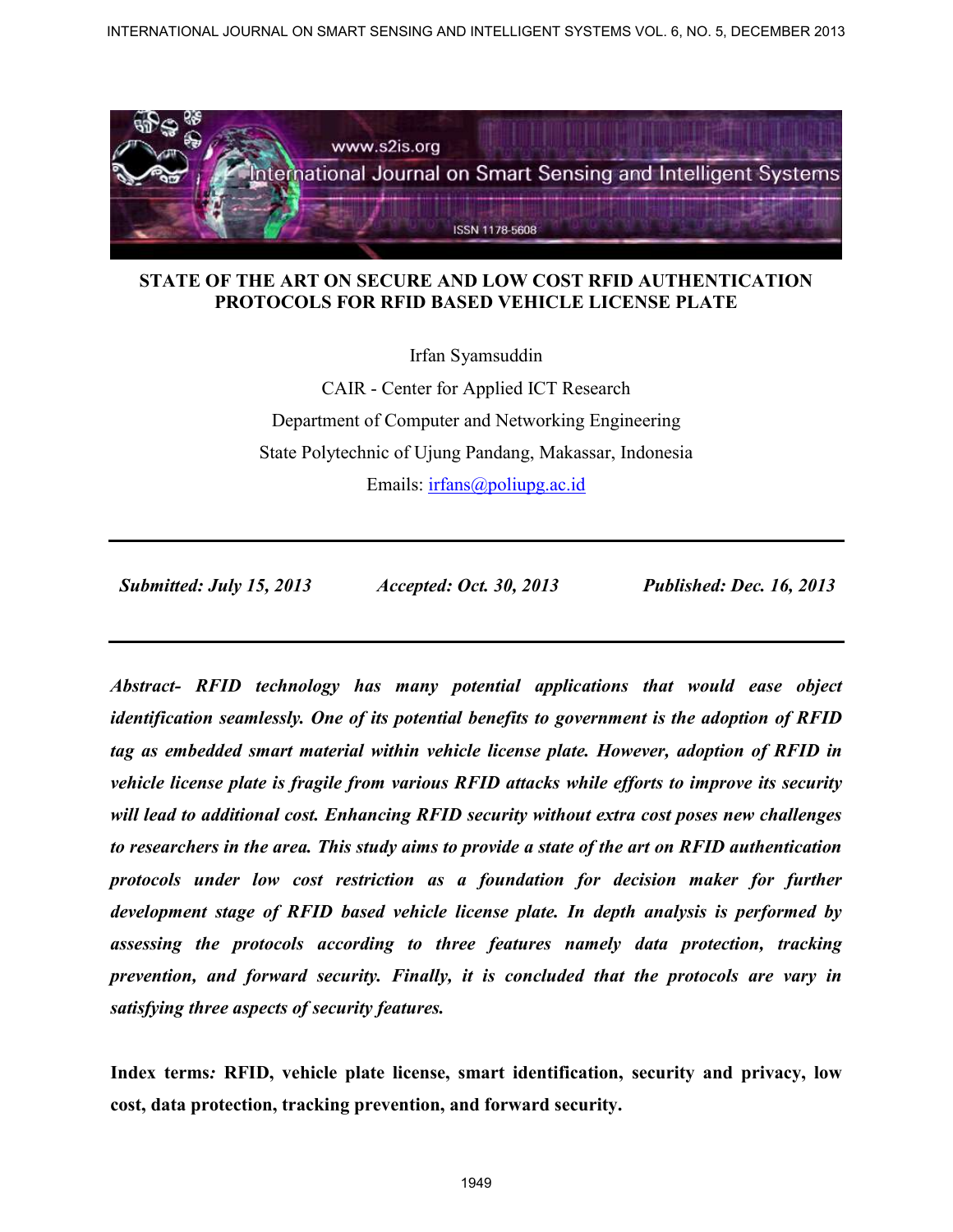

Irfan Syamsuddin

CAIR - Center for Applied ICT Research Department of Computer and Networking Engineering State Polytechnic of Ujung Pandang, Makassar, Indonesia Emails: irfans@poliupg.ac.id

 *Submitted: July 15, 2013 Accepted: Oct. 30, 2013 Published: Dec. 16, 2013* 

*Abstract- RFID technology has many potential applications that would ease object identification seamlessly. One of its potential benefits to government is the adoption of RFID tag as embedded smart material within vehicle license plate. However, adoption of RFID in vehicle license plate is fragile from various RFID attacks while efforts to improve its security will lead to additional cost. Enhancing RFID security without extra cost poses new challenges to researchers in the area. This study aims to provide a state of the art on RFID authentication protocols under low cost restriction as a foundation for decision maker for further development stage of RFID based vehicle license plate. In depth analysis is performed by assessing the protocols according to three features namely data protection, tracking prevention, and forward security. Finally, it is concluded that the protocols are vary in satisfying three aspects of security features.*  INTERNATIONAL JOURNAL ON SINCREATION CONTRATION CONTRATION CONTRATION CONTRATION CONTRATION CONTRATION CONTRATION CONTRATION CONTRATION CONTRATION CONTRATION CONTRATION CONTRATION CONTRATION CONTRATION CONTRATION CONTRATI

**Index terms***:* **RFID, vehicle plate license, smart identification, security and privacy, low cost, data protection, tracking prevention, and forward security.**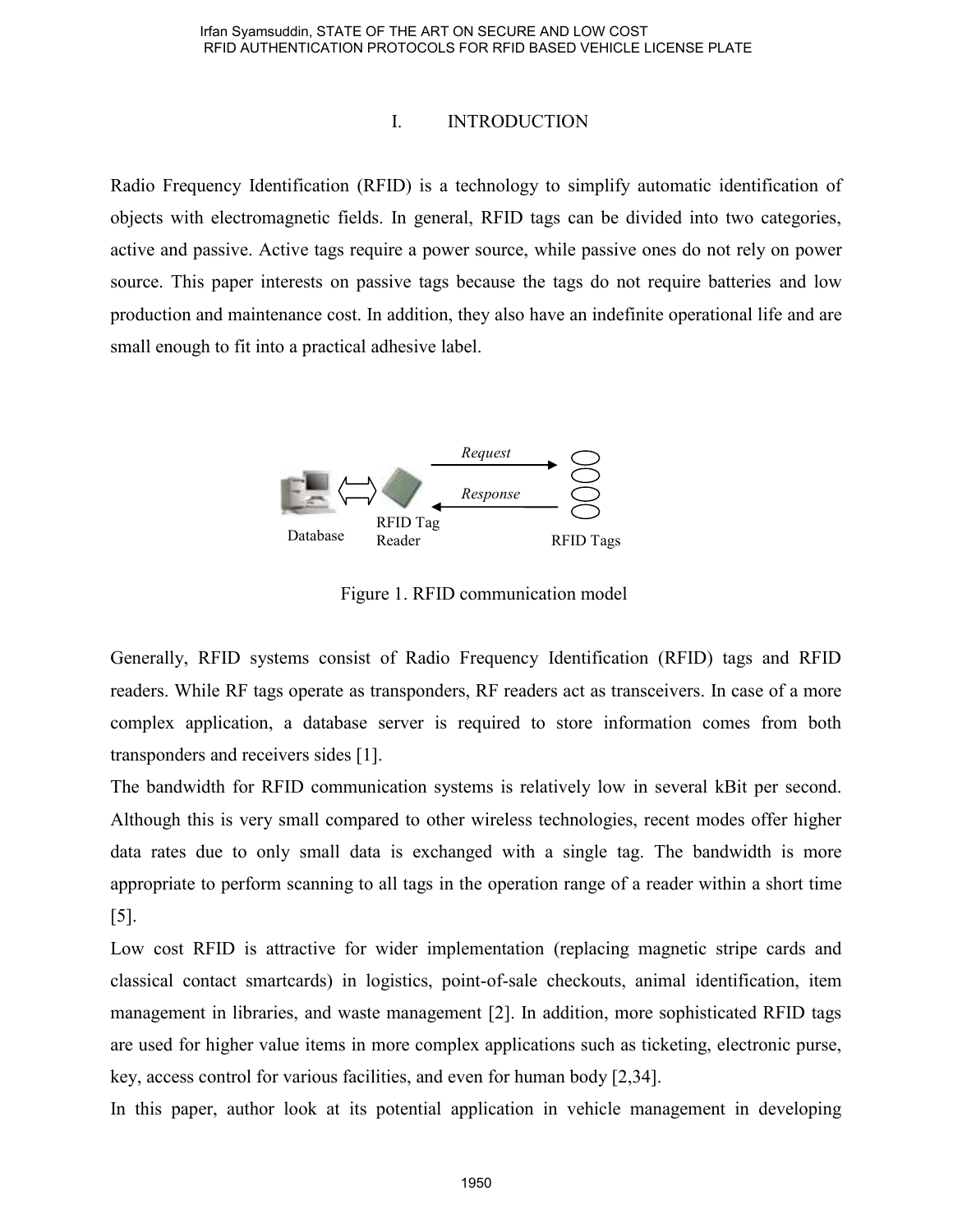### I. INTRODUCTION

Radio Frequency Identification (RFID) is a technology to simplify automatic identification of objects with electromagnetic fields. In general, RFID tags can be divided into two categories, active and passive. Active tags require a power source, while passive ones do not rely on power source. This paper interests on passive tags because the tags do not require batteries and low production and maintenance cost. In addition, they also have an indefinite operational life and are small enough to fit into a practical adhesive label.



Figure 1. RFID communication model

Generally, RFID systems consist of Radio Frequency Identification (RFID) tags and RFID readers. While RF tags operate as transponders, RF readers act as transceivers. In case of a more complex application, a database server is required to store information comes from both transponders and receivers sides [1].

The bandwidth for RFID communication systems is relatively low in several kBit per second. Although this is very small compared to other wireless technologies, recent modes offer higher data rates due to only small data is exchanged with a single tag. The bandwidth is more appropriate to perform scanning to all tags in the operation range of a reader within a short time [5].

Low cost RFID is attractive for wider implementation (replacing magnetic stripe cards and classical contact smartcards) in logistics, point-of-sale checkouts, animal identification, item management in libraries, and waste management [2]. In addition, more sophisticated RFID tags are used for higher value items in more complex applications such as ticketing, electronic purse, key, access control for various facilities, and even for human body [2,34].

In this paper, author look at its potential application in vehicle management in developing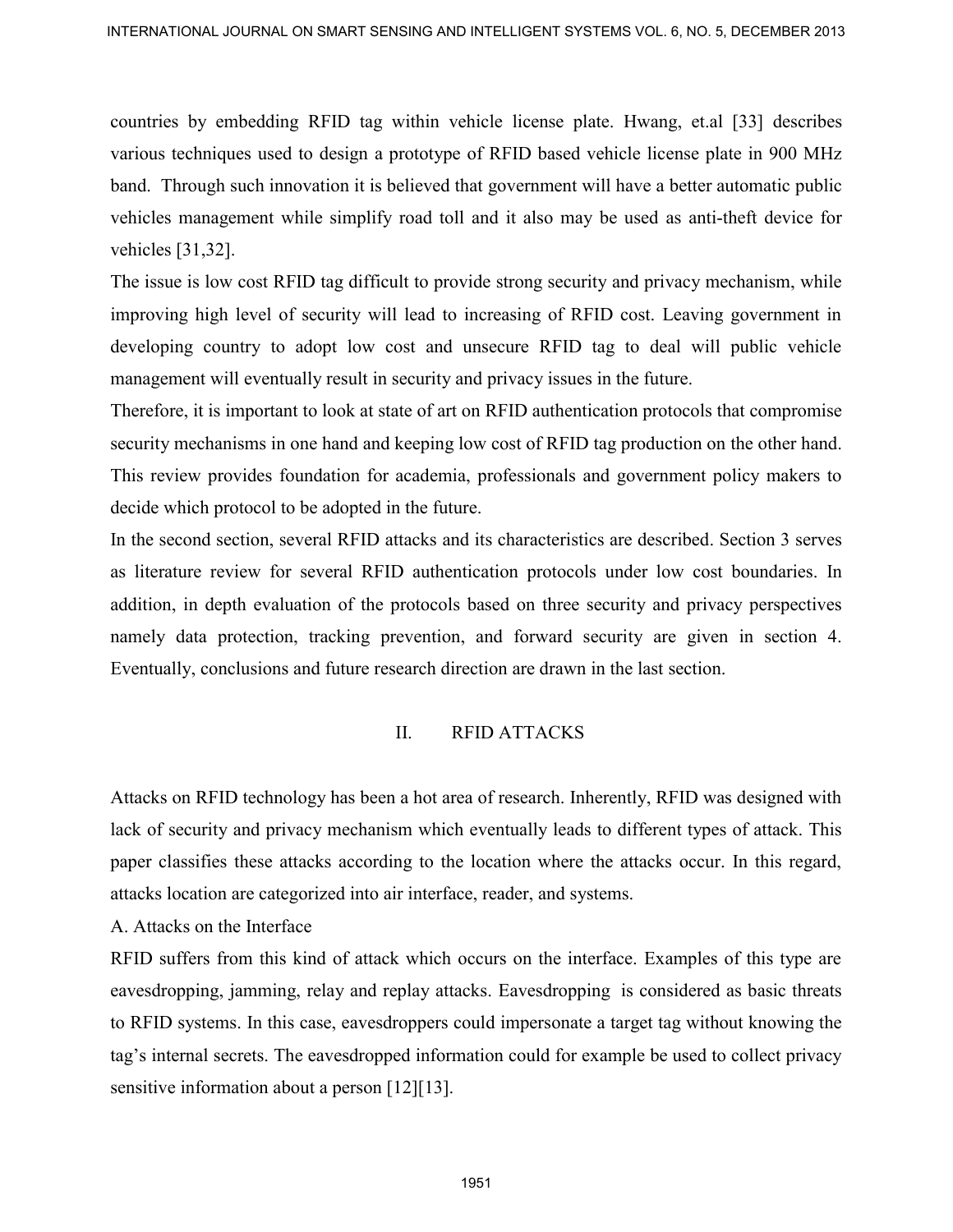countries by embedding RFID tag within vehicle license plate. Hwang, et.al [33] describes various techniques used to design a prototype of RFID based vehicle license plate in 900 MHz band. Through such innovation it is believed that government will have a better automatic public vehicles management while simplify road toll and it also may be used as anti-theft device for vehicles [31,32].

The issue is low cost RFID tag difficult to provide strong security and privacy mechanism, while improving high level of security will lead to increasing of RFID cost. Leaving government in developing country to adopt low cost and unsecure RFID tag to deal will public vehicle management will eventually result in security and privacy issues in the future.

Therefore, it is important to look at state of art on RFID authentication protocols that compromise security mechanisms in one hand and keeping low cost of RFID tag production on the other hand. This review provides foundation for academia, professionals and government policy makers to decide which protocol to be adopted in the future.

In the second section, several RFID attacks and its characteristics are described. Section 3 serves as literature review for several RFID authentication protocols under low cost boundaries. In addition, in depth evaluation of the protocols based on three security and privacy perspectives namely data protection, tracking prevention, and forward security are given in section 4. Eventually, conclusions and future research direction are drawn in the last section. INTERNATIONAL JOURNAL ON SUART SCHEMA AND INTELLIGENT SYSTEMS VOL. 8, NO. 5, DECEMBER 2013<br>
countries by embedding RFID tag within vehicle locuse plate. Howing, et all [33] disorreles<br>
various techniques used to design a p

# II. RFID ATTACKS

Attacks on RFID technology has been a hot area of research. Inherently, RFID was designed with lack of security and privacy mechanism which eventually leads to different types of attack. This paper classifies these attacks according to the location where the attacks occur. In this regard, attacks location are categorized into air interface, reader, and systems.

A. Attacks on the Interface

RFID suffers from this kind of attack which occurs on the interface. Examples of this type are eavesdropping, jamming, relay and replay attacks. Eavesdropping is considered as basic threats to RFID systems. In this case, eavesdroppers could impersonate a target tag without knowing the tag's internal secrets. The eavesdropped information could for example be used to collect privacy sensitive information about a person [12][13].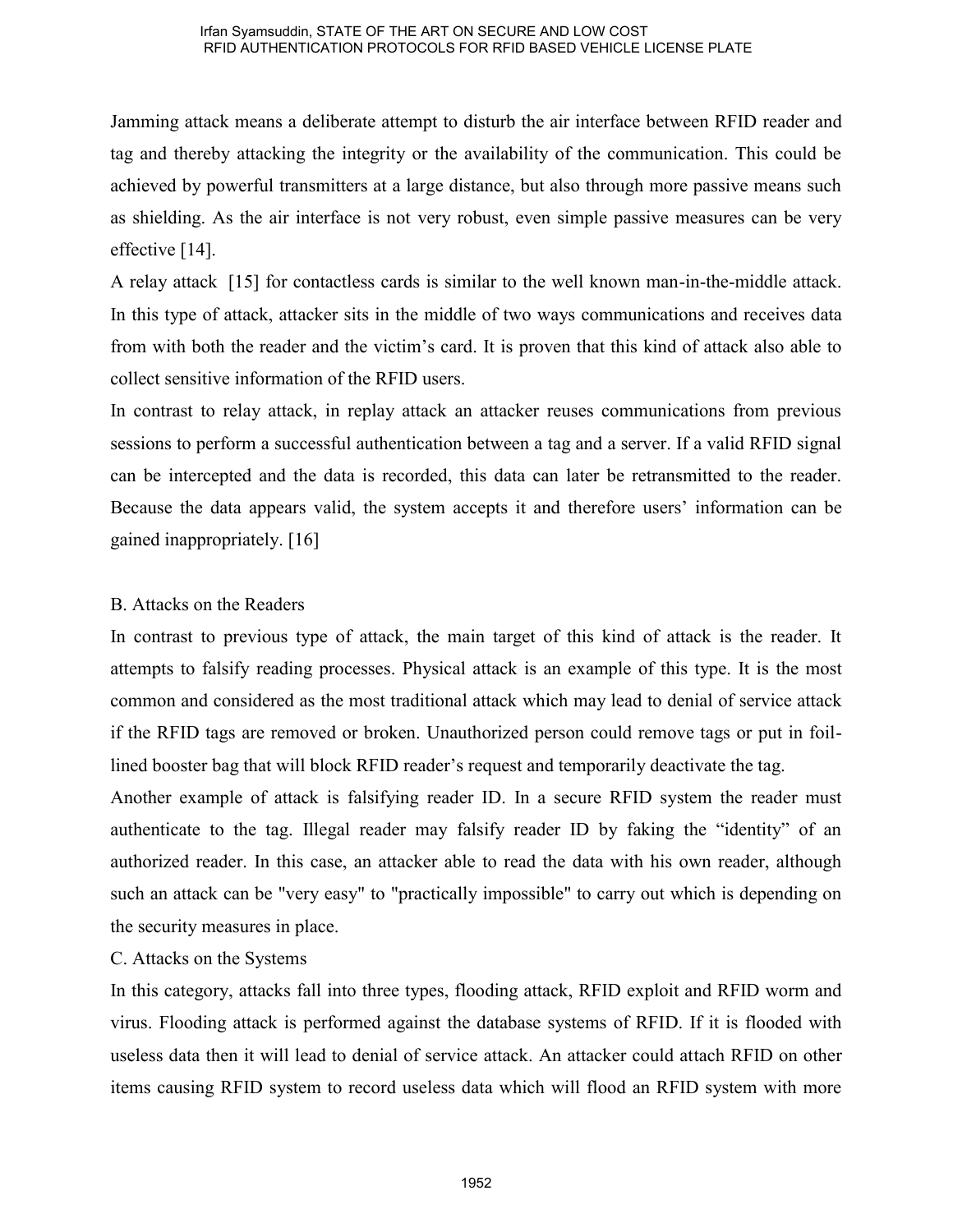Jamming attack means a deliberate attempt to disturb the air interface between RFID reader and tag and thereby attacking the integrity or the availability of the communication. This could be achieved by powerful transmitters at a large distance, but also through more passive means such as shielding. As the air interface is not very robust, even simple passive measures can be very effective [14].

A relay attack [15] for contactless cards is similar to the well known man-in-the-middle attack. In this type of attack, attacker sits in the middle of two ways communications and receives data from with both the reader and the victim's card. It is proven that this kind of attack also able to collect sensitive information of the RFID users.

In contrast to relay attack, in replay attack an attacker reuses communications from previous sessions to perform a successful authentication between a tag and a server. If a valid RFID signal can be intercepted and the data is recorded, this data can later be retransmitted to the reader. Because the data appears valid, the system accepts it and therefore users' information can be gained inappropriately. [16]

# B. Attacks on the Readers

In contrast to previous type of attack, the main target of this kind of attack is the reader. It attempts to falsify reading processes. Physical attack is an example of this type. It is the most common and considered as the most traditional attack which may lead to denial of service attack if the RFID tags are removed or broken. Unauthorized person could remove tags or put in foillined booster bag that will block RFID reader's request and temporarily deactivate the tag.

Another example of attack is falsifying reader ID. In a secure RFID system the reader must authenticate to the tag. Illegal reader may falsify reader ID by faking the "identity" of an authorized reader. In this case, an attacker able to read the data with his own reader, although such an attack can be "very easy" to "practically impossible" to carry out which is depending on the security measures in place.

# C. Attacks on the Systems

In this category, attacks fall into three types, flooding attack, RFID exploit and RFID worm and virus. Flooding attack is performed against the database systems of RFID. If it is flooded with useless data then it will lead to denial of service attack. An attacker could attach RFID on other items causing RFID system to record useless data which will flood an RFID system with more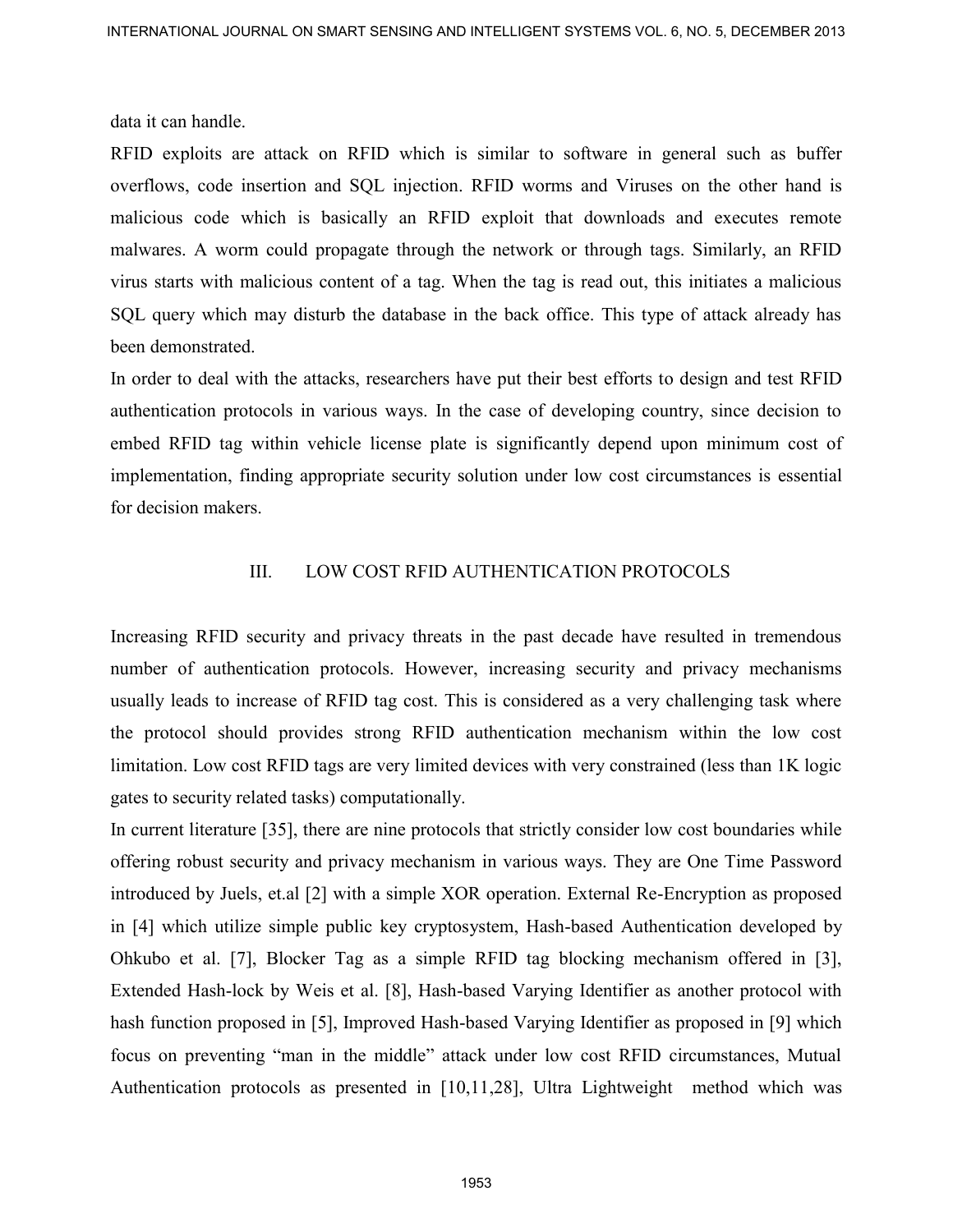data it can handle.

RFID exploits are attack on RFID which is similar to software in general such as buffer overflows, code insertion and SQL injection. RFID worms and Viruses on the other hand is malicious code which is basically an RFID exploit that downloads and executes remote malwares. A worm could propagate through the network or through tags. Similarly, an RFID virus starts with malicious content of a tag. When the tag is read out, this initiates a malicious SQL query which may disturb the database in the back office. This type of attack already has been demonstrated.

In order to deal with the attacks, researchers have put their best efforts to design and test RFID authentication protocols in various ways. In the case of developing country, since decision to embed RFID tag within vehicle license plate is significantly depend upon minimum cost of implementation, finding appropriate security solution under low cost circumstances is essential for decision makers.

# III. LOW COST RFID AUTHENTICATION PROTOCOLS

Increasing RFID security and privacy threats in the past decade have resulted in tremendous number of authentication protocols. However, increasing security and privacy mechanisms usually leads to increase of RFID tag cost. This is considered as a very challenging task where the protocol should provides strong RFID authentication mechanism within the low cost limitation. Low cost RFID tags are very limited devices with very constrained (less than 1K logic gates to security related tasks) computationally.

In current literature [35], there are nine protocols that strictly consider low cost boundaries while offering robust security and privacy mechanism in various ways. They are One Time Password introduced by Juels, et.al [2] with a simple XOR operation. External Re-Encryption as proposed in [4] which utilize simple public key cryptosystem, Hash-based Authentication developed by Ohkubo et al. [7], Blocker Tag as a simple RFID tag blocking mechanism offered in [3], Extended Hash-lock by Weis et al. [8], Hash-based Varying Identifier as another protocol with hash function proposed in [5], Improved Hash-based Varying Identifier as proposed in [9] which focus on preventing "man in the middle" attack under low cost RFID circumstances, Mutual Authentication protocols as presented in [10,11,28], Ultra Lightweight method which was INTERNATIONAL JOURNAL ON SINART SCHEME AND INTELLIGENT SYSTEMS VOL. A NO. 5, DECEMBER 2013 data at each stand.<br>
INTED explosive stands and SOC Lipcicular, RETID worses and Vittories on the tothe hand is buffer mathematic a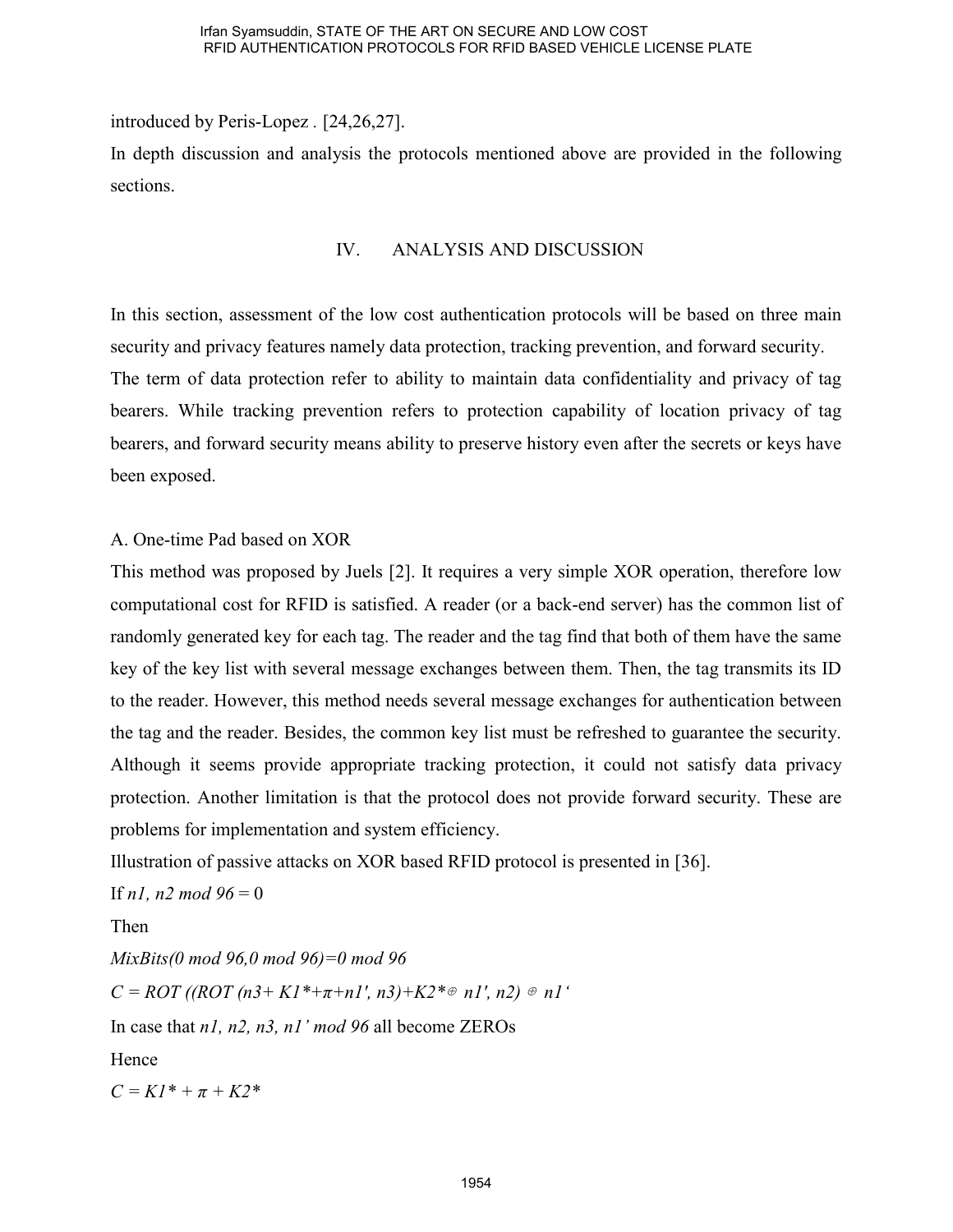introduced by Peris-Lopez *.* [24,26,27]. In depth discussion and analysis the protocols mentioned above are provided in the following sections.

# IV. ANALYSIS AND DISCUSSION

In this section, assessment of the low cost authentication protocols will be based on three main security and privacy features namely data protection, tracking prevention, and forward security. The term of data protection refer to ability to maintain data confidentiality and privacy of tag bearers. While tracking prevention refers to protection capability of location privacy of tag bearers, and forward security means ability to preserve history even after the secrets or keys have been exposed.

A. One-time Pad based on XOR

This method was proposed by Juels [2]. It requires a very simple XOR operation, therefore low computational cost for RFID is satisfied. A reader (or a back-end server) has the common list of randomly generated key for each tag. The reader and the tag find that both of them have the same key of the key list with several message exchanges between them. Then, the tag transmits its ID to the reader. However, this method needs several message exchanges for authentication between the tag and the reader. Besides, the common key list must be refreshed to guarantee the security. Although it seems provide appropriate tracking protection, it could not satisfy data privacy protection. Another limitation is that the protocol does not provide forward security. These are problems for implementation and system efficiency.

Illustration of passive attacks on XOR based RFID protocol is presented in [36].

If *n1*, *n2 mod*  $96 = 0$ 

Then

*MixBits(0 mod 96,0 mod 96)=0 mod 96*   $C = ROT (ROT (n3 + K1^* + \pi + n1', n3) + K2^* \oplus n1', n2) \oplus n1'$ In case that *n1, n2, n3, n1' mod 96* all become ZEROs Hence  $C = K1^* + \pi + K2^*$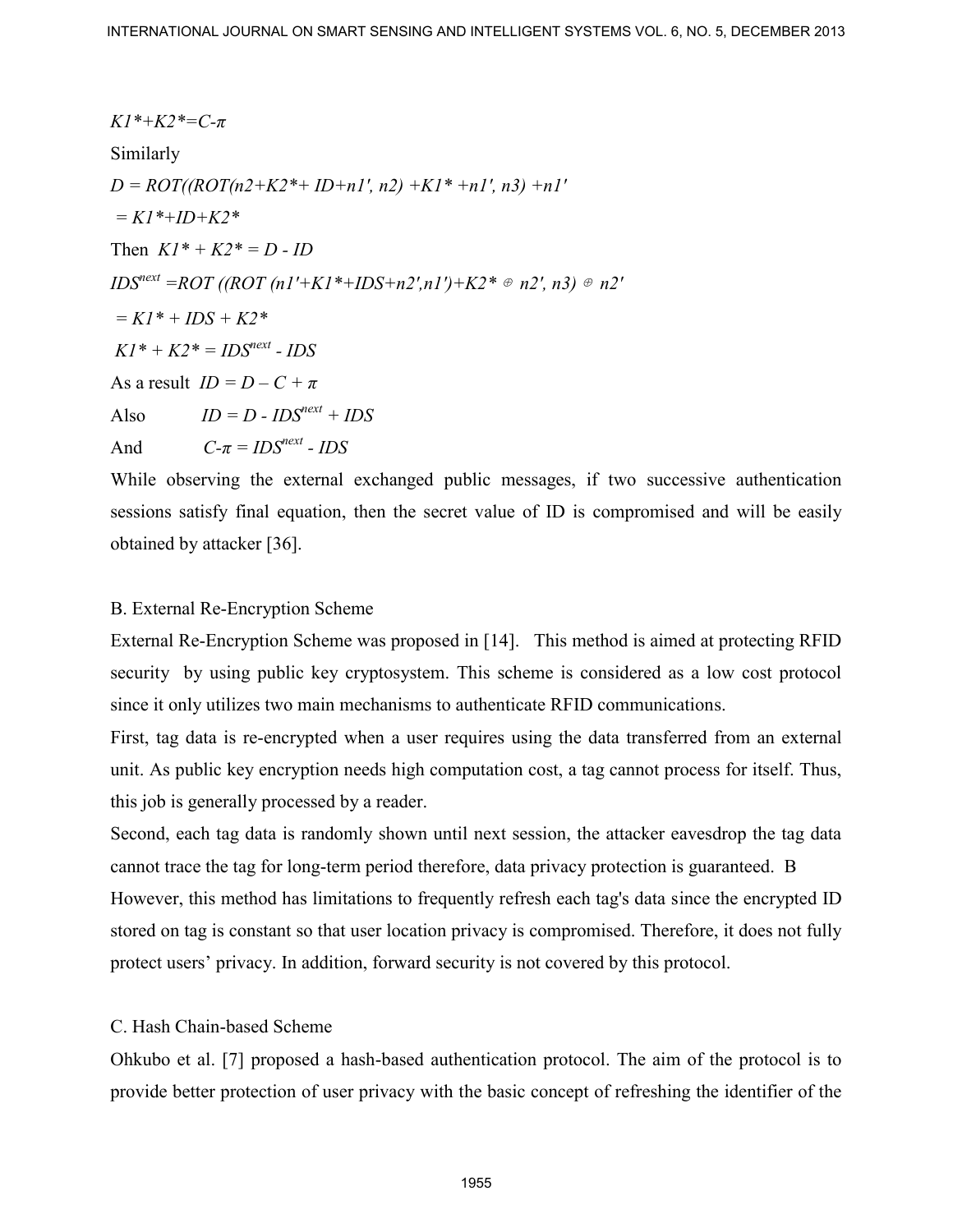INTERNATIONAL JOURNAL ON SMART SENSING AND INTELLIGENT SYSTEMS VOL. 6, NO. 5, DECEMBER 2013  
\n
$$
K1*+K2* = C-π
$$
\nSimilarly  
\n
$$
D = ROT((ROT(n2+K2*+ID+n1', n2)+K1*+n1', n3)+n1'
$$
\n
$$
= K1*+ID+K2*
$$
\nThen 
$$
K1*+K2* = D-ID
$$
\n
$$
ID5*next = ROT((ROT(n1'+K1*+ID5+n2', n1')+K2* * n2', n3) \neq n2'
$$
\n
$$
= K1*+ID5+K2*
$$
\nAt = 
$$
N(1) = D - CD*T
$$
\nAs a result 
$$
ID = D - CD*T
$$
\nAlso 
$$
ID = D - CD*T
$$
\nAlso 
$$
ID = D - CD*T
$$
\nAlso 
$$
ID = D - CD*T
$$
\nAlso 
$$
ID = D - CD*T
$$
\nAlso 
$$
ID = D - CD*T
$$
\nAlso 
$$
ID = D - CD*T
$$
\nAlso 
$$
ID = D - CD*T
$$
\nAlso 
$$
ID = D - CD*T
$$
\nAlso 
$$
D = CD*T
$$
\nThis 
$$
N
$$
\nWhile observing the external exchanged public messages, if two successive authentication sessions satisfy final equation, then the secret value of ID is compromised and will be easily obtained by attacker [36].  
\nB. External Re-Fneryption Scheme was proposed in [14]. This method is aimed at protecting RFID containing the data in the same area, but the same as a low cost protocol since it only utilizes two main mechanisms to authenticate RFID communications. First, tag data is re-encrypted when a user requires using the data transferred from an external unit. As public key encryption needs high computation cost, a tag cannot process for itself. Thus, if this job is generally proposed by a reader. Second, each tag data is randomly shown until next session, the attacker eavesdrop the tag data cannot trace the tag for long-term period therefore, data privacy protection is guaranteed. B However, this method has limitations to frequently refresh each tag's data since the encrypted ID stored on tag is constant so that user location privacy is compromised. Therefore, it does not fully protect users' privacy. In addition, forward security is not covered by this protocol. C. Hash Chain-based scheme  
\nOkkubo et al. [7] proposed a hash-based authentication protocol. The aim of the protocol is to provide better protection of user privacy with the basic concept of refreshing the identifier of the

While observing the external exchanged public messages, if two successive authentication sessions satisfy final equation, then the secret value of ID is compromised and will be easily obtained by attacker [36].

# B. External Re-Encryption Scheme

External Re-Encryption Scheme was proposed in [14]. This method is aimed at protecting RFID security by using public key cryptosystem. This scheme is considered as a low cost protocol since it only utilizes two main mechanisms to authenticate RFID communications.

First, tag data is re-encrypted when a user requires using the data transferred from an external unit. As public key encryption needs high computation cost, a tag cannot process for itself. Thus, this job is generally processed by a reader.

Second, each tag data is randomly shown until next session, the attacker eavesdrop the tag data cannot trace the tag for long-term period therefore, data privacy protection is guaranteed. B However, this method has limitations to frequently refresh each tag's data since the encrypted ID stored on tag is constant so that user location privacy is compromised. Therefore, it does not fully protect users' privacy. In addition, forward security is not covered by this protocol.

# C. Hash Chain-based Scheme

Ohkubo et al. [7] proposed a hash-based authentication protocol. The aim of the protocol is to provide better protection of user privacy with the basic concept of refreshing the identifier of the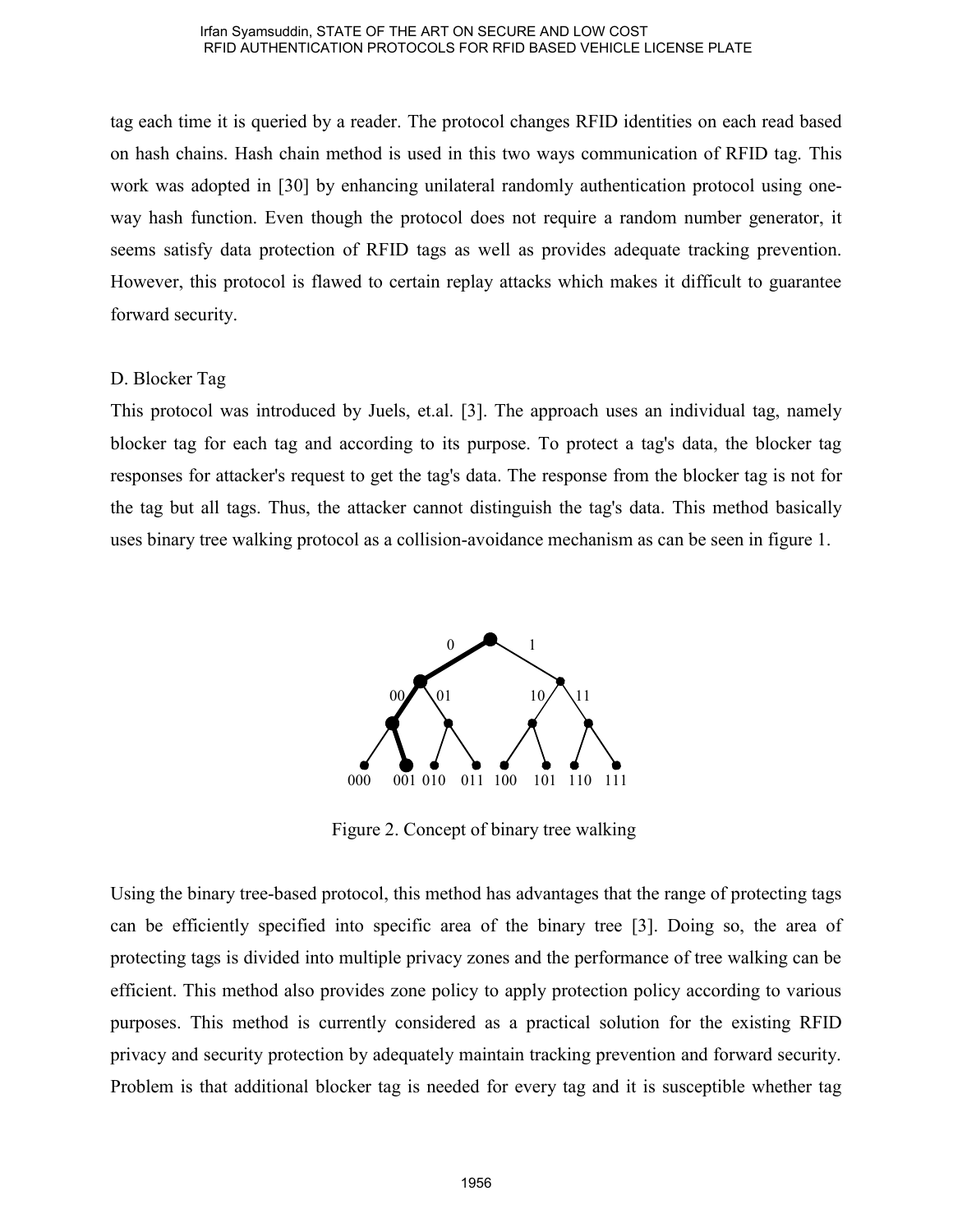tag each time it is queried by a reader. The protocol changes RFID identities on each read based on hash chains. Hash chain method is used in this two ways communication of RFID tag. This work was adopted in [30] by enhancing unilateral randomly authentication protocol using oneway hash function. Even though the protocol does not require a random number generator, it seems satisfy data protection of RFID tags as well as provides adequate tracking prevention. However, this protocol is flawed to certain replay attacks which makes it difficult to guarantee forward security.

# D. Blocker Tag

This protocol was introduced by Juels, et.al. [3]. The approach uses an individual tag, namely blocker tag for each tag and according to its purpose. To protect a tag's data, the blocker tag responses for attacker's request to get the tag's data. The response from the blocker tag is not for the tag but all tags. Thus, the attacker cannot distinguish the tag's data. This method basically uses binary tree walking protocol as a collision-avoidance mechanism as can be seen in figure 1.



Figure 2. Concept of binary tree walking

Using the binary tree-based protocol, this method has advantages that the range of protecting tags can be efficiently specified into specific area of the binary tree [3]. Doing so, the area of protecting tags is divided into multiple privacy zones and the performance of tree walking can be efficient. This method also provides zone policy to apply protection policy according to various purposes. This method is currently considered as a practical solution for the existing RFID privacy and security protection by adequately maintain tracking prevention and forward security. Problem is that additional blocker tag is needed for every tag and it is susceptible whether tag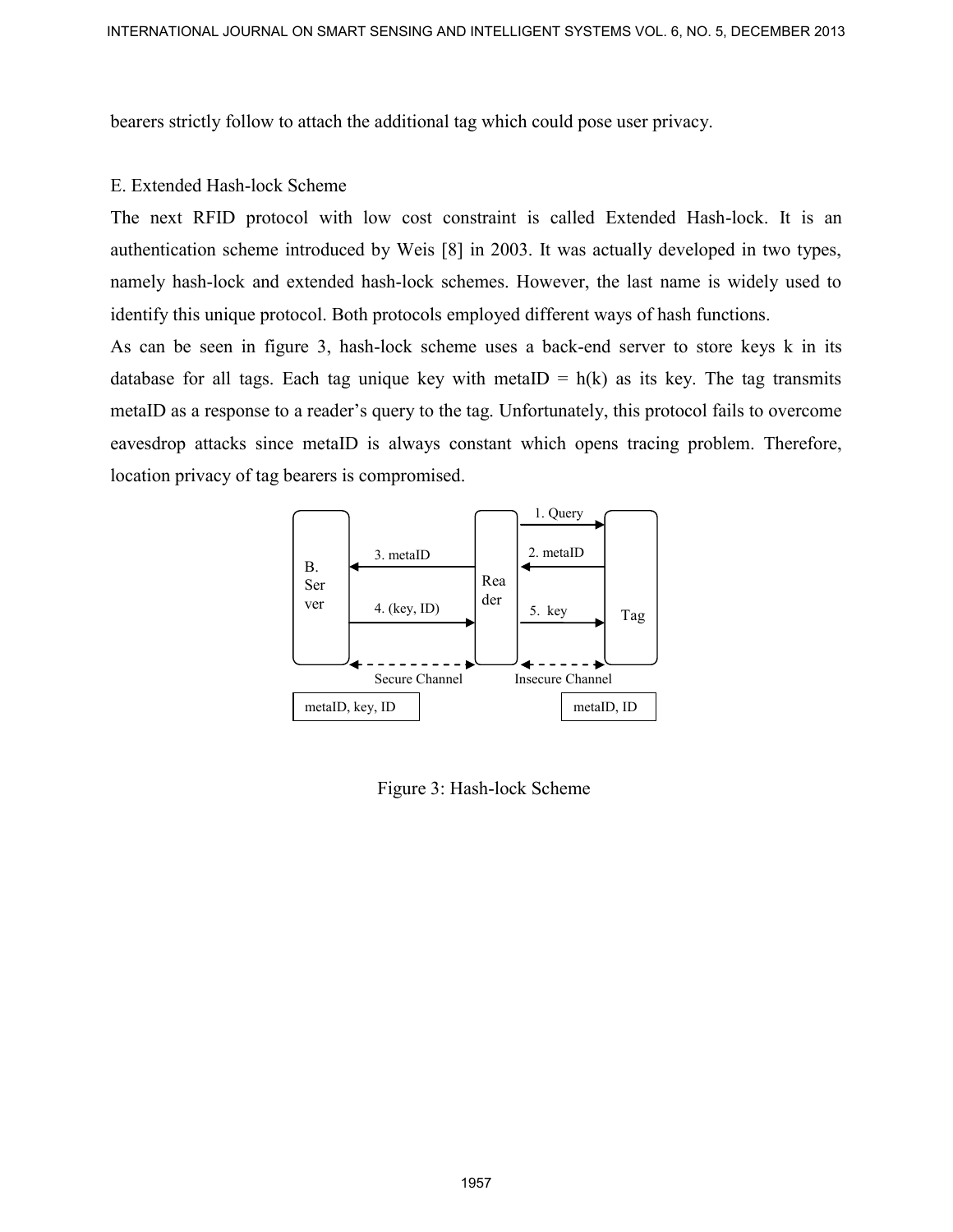bearers strictly follow to attach the additional tag which could pose user privacy.

### E. Extended Hash-lock Scheme

The next RFID protocol with low cost constraint is called Extended Hash-lock. It is an authentication scheme introduced by Weis [8] in 2003. It was actually developed in two types, namely hash-lock and extended hash-lock schemes. However, the last name is widely used to identify this unique protocol. Both protocols employed different ways of hash functions.

As can be seen in figure 3, hash-lock scheme uses a back-end server to store keys k in its database for all tags. Each tag unique key with metaID =  $h(k)$  as its key. The tag transmits metaID as a response to a reader's query to the tag. Unfortunately, this protocol fails to overcome eavesdrop attacks since metaID is always constant which opens tracing problem. Therefore, location privacy of tag bearers is compromised. INTERNATIONAL JOURNAL ON SINART SCHEIDA AND INTELLIGENT SYSTEMS VOL. A NO. 5, DECEMBER 2013<br>
Determs strictly follow to strictle the additional tag which could pose user privacy.<br>
T. D. next. RFID protocol with low cost c



Figure 3: Hash-lock Scheme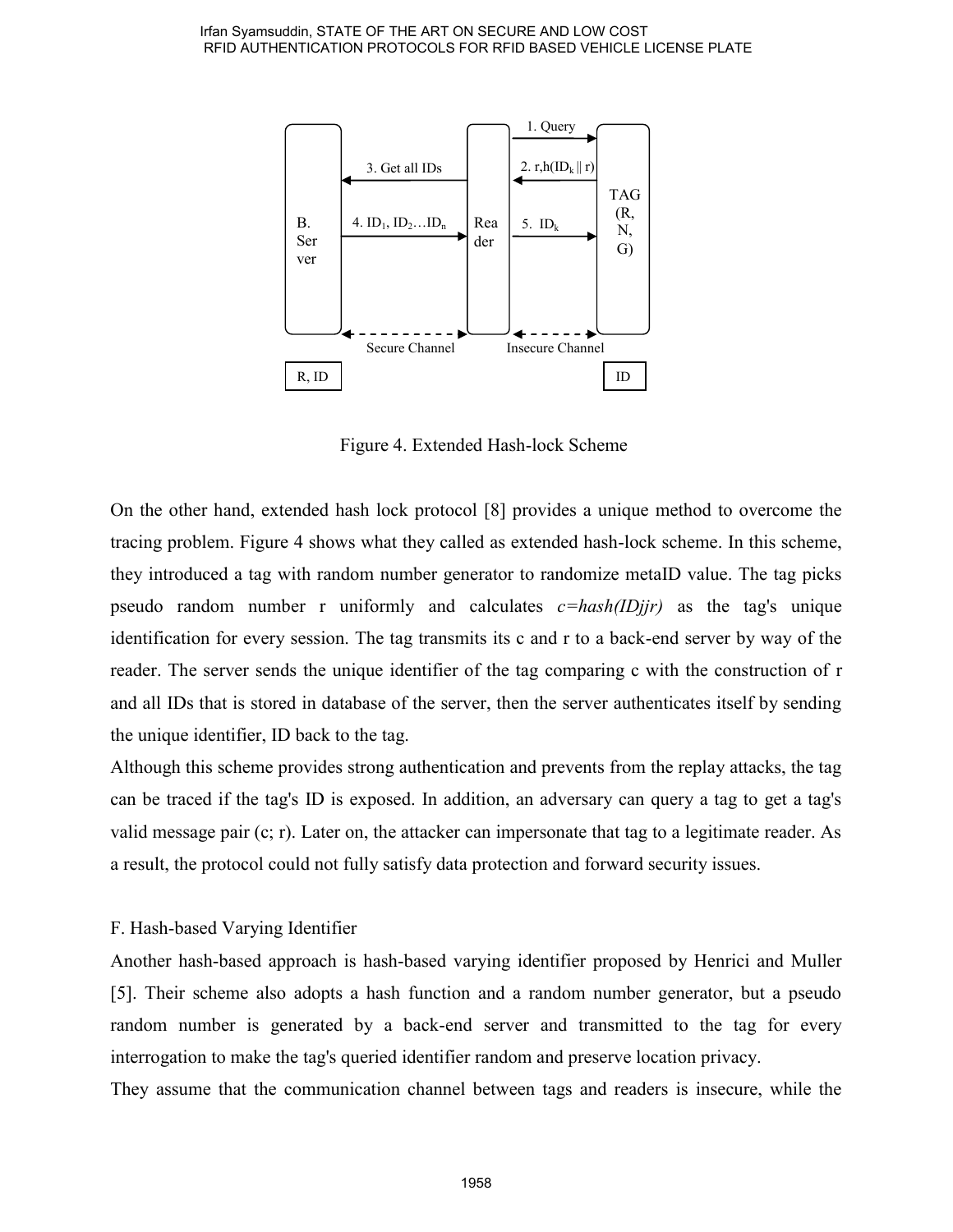

Figure 4. Extended Hash-lock Scheme

On the other hand, extended hash lock protocol [8] provides a unique method to overcome the tracing problem. Figure 4 shows what they called as extended hash-lock scheme. In this scheme, they introduced a tag with random number generator to randomize metaID value. The tag picks pseudo random number r uniformly and calculates *c=hash(IDjjr)* as the tag's unique identification for every session. The tag transmits its c and r to a back-end server by way of the reader. The server sends the unique identifier of the tag comparing c with the construction of r and all IDs that is stored in database of the server, then the server authenticates itself by sending the unique identifier, ID back to the tag.

Although this scheme provides strong authentication and prevents from the replay attacks, the tag can be traced if the tag's ID is exposed. In addition, an adversary can query a tag to get a tag's valid message pair (c; r). Later on, the attacker can impersonate that tag to a legitimate reader. As a result, the protocol could not fully satisfy data protection and forward security issues.

# F. Hash-based Varying Identifier

Another hash-based approach is hash-based varying identifier proposed by Henrici and Muller [5]. Their scheme also adopts a hash function and a random number generator, but a pseudo random number is generated by a back-end server and transmitted to the tag for every interrogation to make the tag's queried identifier random and preserve location privacy.

They assume that the communication channel between tags and readers is insecure, while the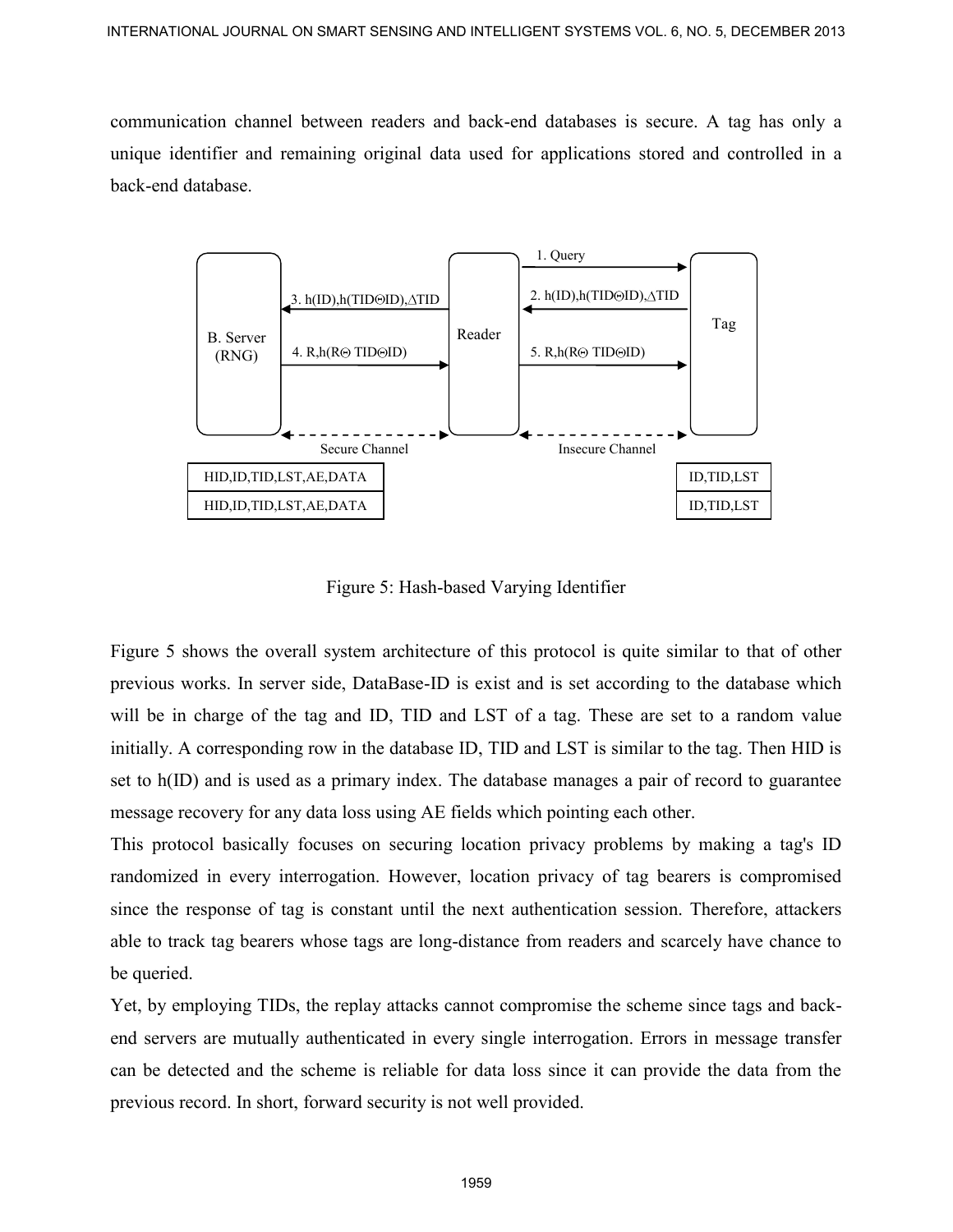communication channel between readers and back-end databases is secure. A tag has only a unique identifier and remaining original data used for applications stored and controlled in a back-end database.



Figure 5: Hash-based Varying Identifier

Figure 5 shows the overall system architecture of this protocol is quite similar to that of other previous works. In server side, DataBase-ID is exist and is set according to the database which will be in charge of the tag and ID, TID and LST of a tag. These are set to a random value initially. A corresponding row in the database ID, TID and LST is similar to the tag. Then HID is set to h(ID) and is used as a primary index. The database manages a pair of record to guarantee message recovery for any data loss using AE fields which pointing each other.

This protocol basically focuses on securing location privacy problems by making a tag's ID randomized in every interrogation. However, location privacy of tag bearers is compromised since the response of tag is constant until the next authentication session. Therefore, attackers able to track tag bearers whose tags are long-distance from readers and scarcely have chance to be queried.

Yet, by employing TIDs, the replay attacks cannot compromise the scheme since tags and backend servers are mutually authenticated in every single interrogation. Errors in message transfer can be detected and the scheme is reliable for data loss since it can provide the data from the previous record. In short, forward security is not well provided.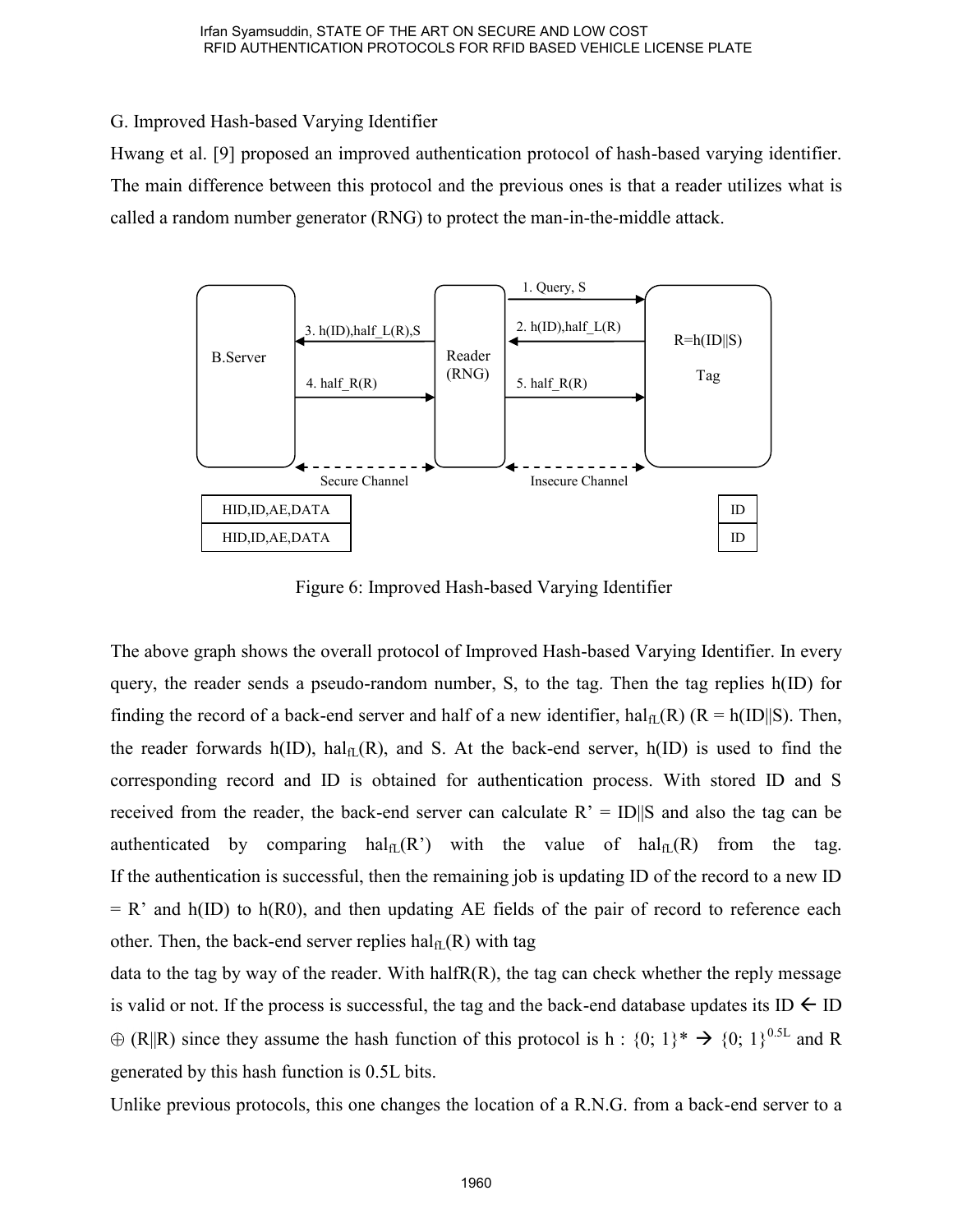G. Improved Hash-based Varying Identifier

Hwang et al. [9] proposed an improved authentication protocol of hash-based varying identifier. The main difference between this protocol and the previous ones is that a reader utilizes what is called a random number generator (RNG) to protect the man-in-the-middle attack.



Figure 6: Improved Hash-based Varying Identifier

The above graph shows the overall protocol of Improved Hash-based Varying Identifier. In every query, the reader sends a pseudo-random number, S, to the tag. Then the tag replies h(ID) for finding the record of a back-end server and half of a new identifier,  $hal<sub>f</sub>(R)$  (R = h(ID||S). Then, the reader forwards h(ID), hal $_{\text{fl}}(R)$ , and S. At the back-end server, h(ID) is used to find the corresponding record and ID is obtained for authentication process. With stored ID and S received from the reader, the back-end server can calculate  $R' = ID||S$  and also the tag can be authenticated by comparing  $hal_{fl}(R')$  with the value of  $hal_{fl}(R)$  from the tag. If the authentication is successful, then the remaining job is updating ID of the record to a new ID  $= R'$  and h(ID) to h(R0), and then updating AE fields of the pair of record to reference each other. Then, the back-end server replies  $\text{hal}_{fL}(R)$  with tag

data to the tag by way of the reader. With halfR(R), the tag can check whether the reply message is valid or not. If the process is successful, the tag and the back-end database updates its ID  $\leftarrow$  ID  $\oplus$  (R||R) since they assume the hash function of this protocol is h : {0; 1}\*  $\rightarrow$  {0; 1}<sup>0.5L</sup> and R generated by this hash function is 0.5L bits.

Unlike previous protocols, this one changes the location of a R.N.G. from a back-end server to a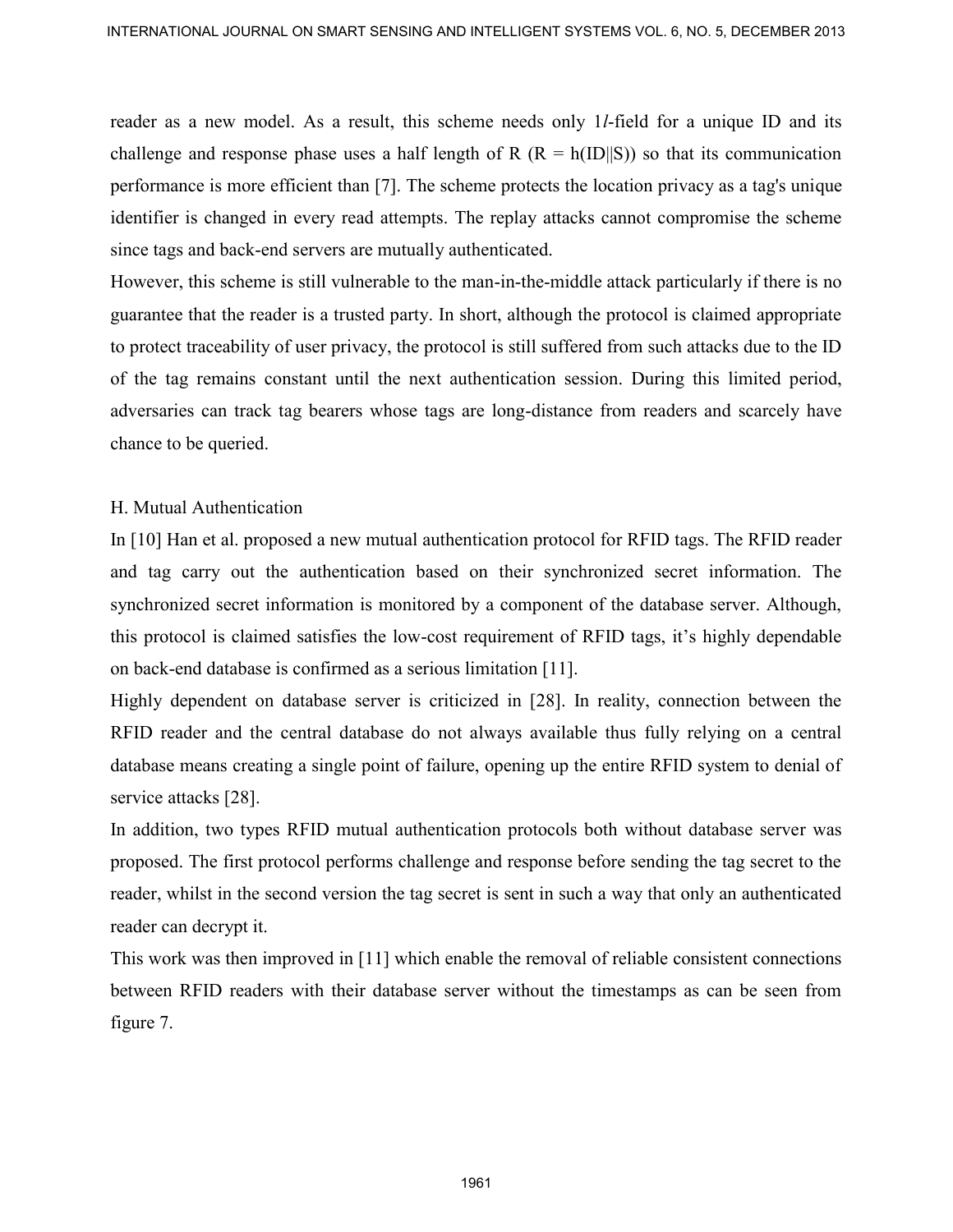reader as a new model. As a result, this scheme needs only 1*l*-field for a unique ID and its challenge and response phase uses a half length of R ( $R = h(ID||S)$ ) so that its communication performance is more efficient than [7]. The scheme protects the location privacy as a tag's unique identifier is changed in every read attempts. The replay attacks cannot compromise the scheme since tags and back-end servers are mutually authenticated.

However, this scheme is still vulnerable to the man-in-the-middle attack particularly if there is no guarantee that the reader is a trusted party. In short, although the protocol is claimed appropriate to protect traceability of user privacy, the protocol is still suffered from such attacks due to the ID of the tag remains constant until the next authentication session. During this limited period, adversaries can track tag bearers whose tags are long-distance from readers and scarcely have chance to be queried. INTERNATIONAL JOURNAL ON SUNAT SCHEING AND INTELLIGENT SYSTEMS VOL. A NO. 5, DECENDER 2013<br>
Tradict as a new model. As a result, thus scheme needs only 1/-field for a unique ID and its column<br>incompromove is note officient

# H. Mutual Authentication

In [10] Han et al. proposed a new mutual authentication protocol for RFID tags. The RFID reader and tag carry out the authentication based on their synchronized secret information. The synchronized secret information is monitored by a component of the database server. Although, this protocol is claimed satisfies the low-cost requirement of RFID tags, it's highly dependable on back-end database is confirmed as a serious limitation [11].

Highly dependent on database server is criticized in [28]. In reality, connection between the RFID reader and the central database do not always available thus fully relying on a central database means creating a single point of failure, opening up the entire RFID system to denial of service attacks [28].

In addition, two types RFID mutual authentication protocols both without database server was proposed. The first protocol performs challenge and response before sending the tag secret to the reader, whilst in the second version the tag secret is sent in such a way that only an authenticated reader can decrypt it.

This work was then improved in [11] which enable the removal of reliable consistent connections between RFID readers with their database server without the timestamps as can be seen from figure 7.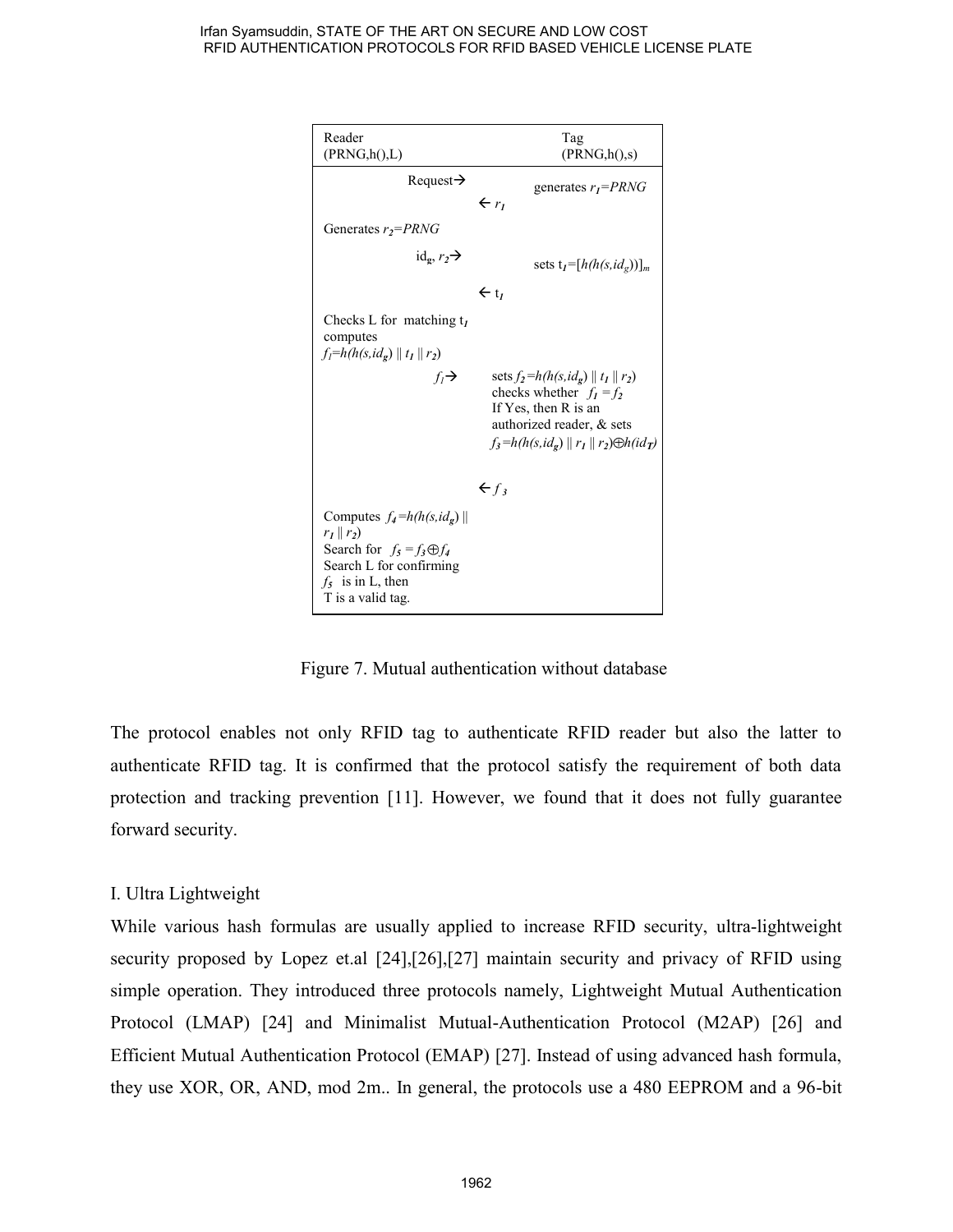

Figure 7. Mutual authentication without database

The protocol enables not only RFID tag to authenticate RFID reader but also the latter to authenticate RFID tag. It is confirmed that the protocol satisfy the requirement of both data protection and tracking prevention [11]. However, we found that it does not fully guarantee forward security.

# I. Ultra Lightweight

While various hash formulas are usually applied to increase RFID security, ultra-lightweight security proposed by Lopez et.al [24],[26],[27] maintain security and privacy of RFID using simple operation. They introduced three protocols namely, Lightweight Mutual Authentication Protocol (LMAP) [24] and Minimalist Mutual-Authentication Protocol (M2AP) [26] and Efficient Mutual Authentication Protocol (EMAP) [27]. Instead of using advanced hash formula, they use XOR, OR, AND, mod 2m.. In general, the protocols use a 480 EEPROM and a 96-bit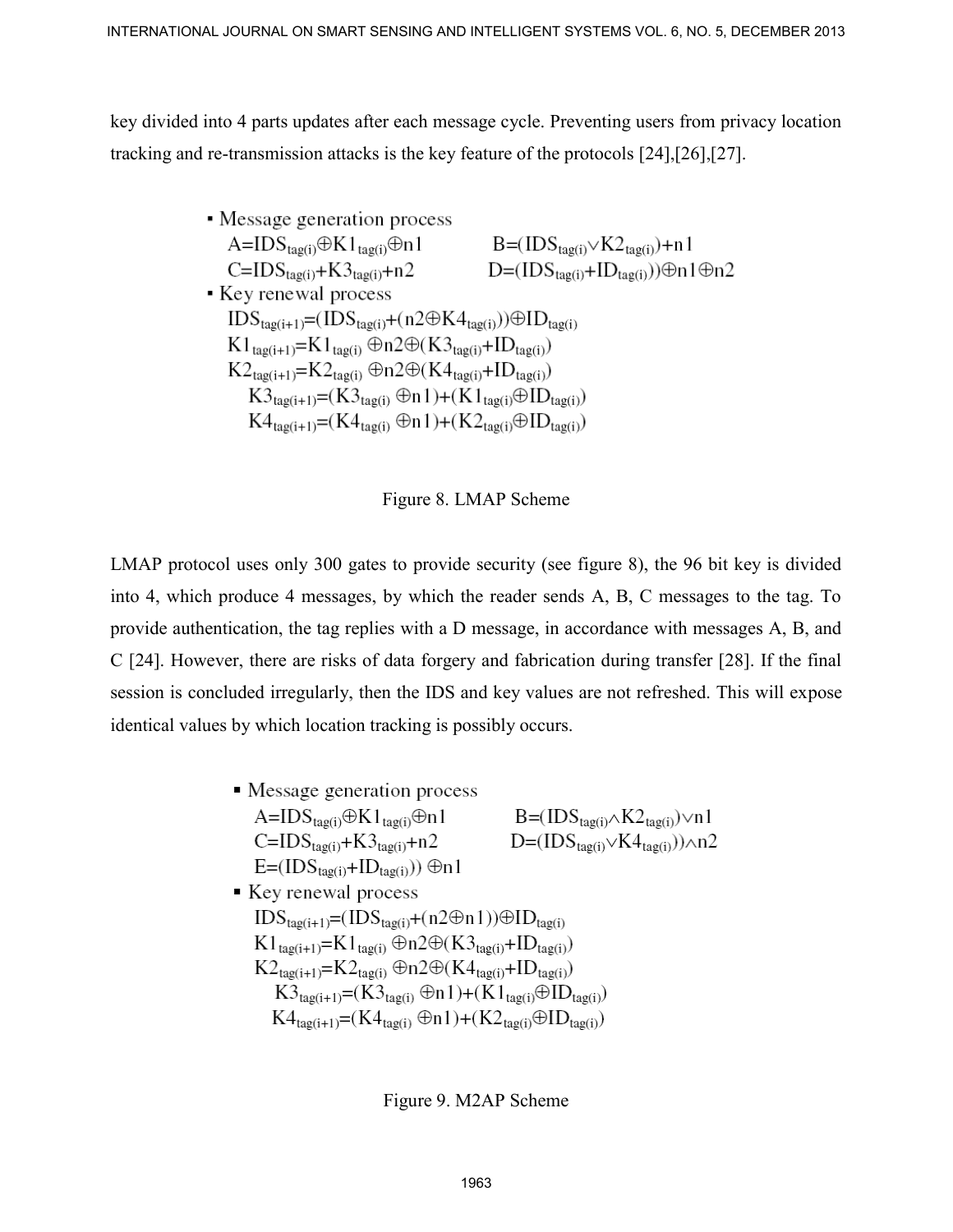key divided into 4 parts updates after each message cycle. Preventing users from privacy location tracking and re-transmission attacks is the key feature of the protocols [24],[26],[27].

# Figure 8. LMAP Scheme

LMAP protocol uses only 300 gates to provide security (see figure 8), the 96 bit key is divided into 4, which produce 4 messages, by which the reader sends A, B, C messages to the tag. To provide authentication, the tag replies with a D message, in accordance with messages A, B, and C [24]. However, there are risks of data forgery and fabrication during transfer [28]. If the final session is concluded irregularly, then the IDS and key values are not refreshed. This will expose identical values by which location tracking is possibly occurs. INTERNATIONAL JOURNAL ON SUNAT SCHEDRA PAD INTELLIGENT SYSTEMS VOL. A NO. 5, DECEMBER 2013<br>
Evg divided into 4 parts updates after each message cycle. Preventing users from privacy location<br>
Inacking and re-framentission

| • Message generation process                                                                             |                                               |
|----------------------------------------------------------------------------------------------------------|-----------------------------------------------|
| $A=IDS_{tag(i)}\oplus K1_{tag(i)}\oplus n1$                                                              | $B=(IDS_{tag(i)} \wedge K2_{tag(i)}) \vee n1$ |
| $C=IDS_{tag(i)}+K3_{tag(i)}+n2$                                                                          | $D=(IDS_{tag(i)}\vee K4_{tag(i)}))\wedge n2$  |
| $E=(IDS_{tag(i)}+ID_{tag(i)})) \oplus n1$                                                                |                                               |
| ■ Key renewal process                                                                                    |                                               |
| $IDS_{tag(i+1)} = (IDS_{tag(i)} + (n2\oplus n1)) \oplus ID_{tag(i)}$                                     |                                               |
| $K1_{tag(i+1)}=K1_{tag(i)} \oplus n2 \oplus (K3_{tag(i)} + ID_{tag(i)})$                                 |                                               |
| $K2_{tag(i+1)}=K2_{tag(i)} \oplus n2 \oplus (K4_{tag(i)} + ID_{tag(i)})$                                 |                                               |
| $K3_{tag(i+1)} = (K3_{tag(i)} \oplus n1) + (K1_{tag(i)} \oplus ID_{tag(i)})$                             |                                               |
| $K4_{\text{tag}(i+1)} = (K4_{\text{tag}(i)} \oplus n1) + (K2_{\text{tag}(i)} \oplus ID_{\text{tag}(i)})$ |                                               |

Figure 9. M2AP Scheme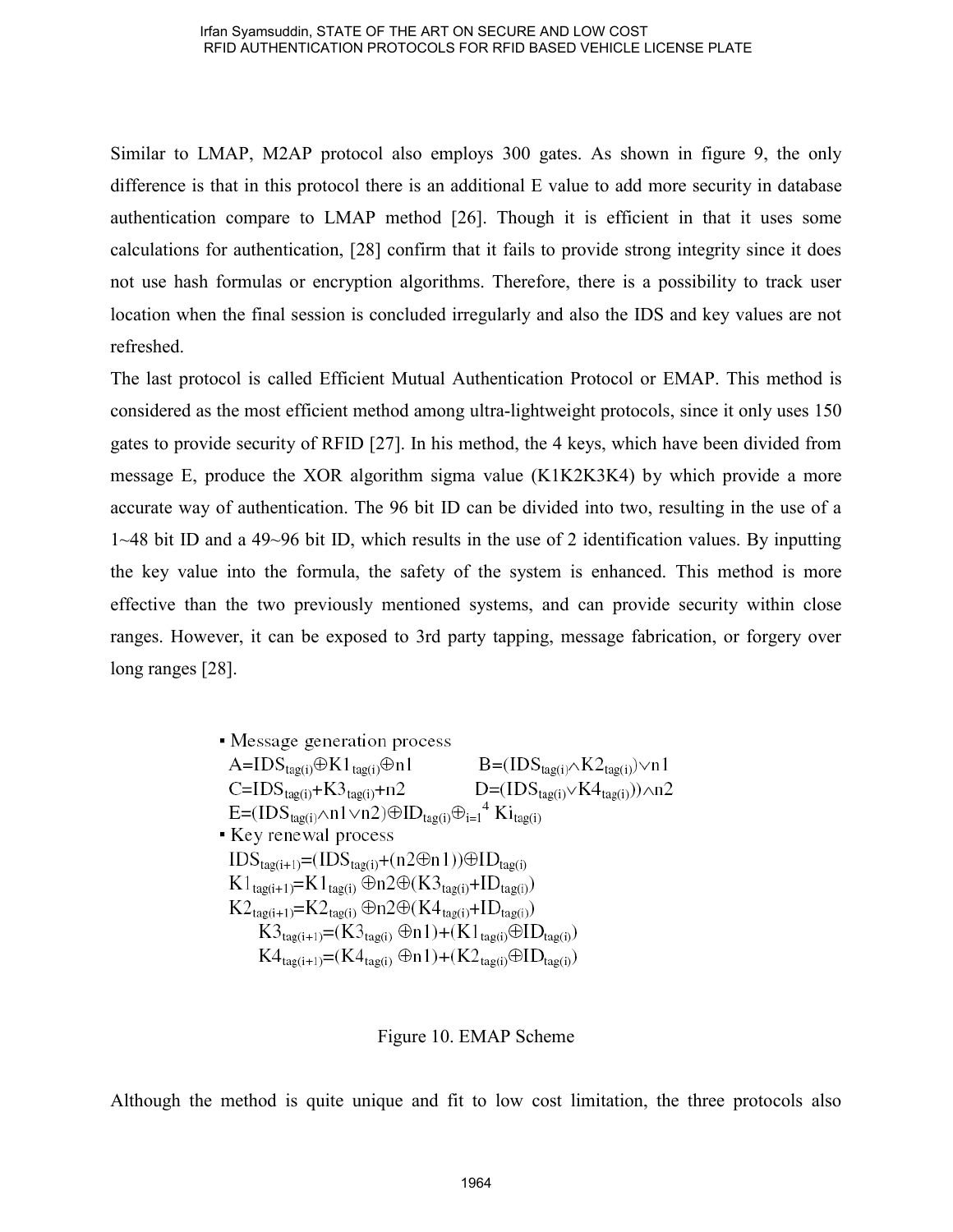Similar to LMAP, M2AP protocol also employs 300 gates. As shown in figure 9, the only difference is that in this protocol there is an additional E value to add more security in database authentication compare to LMAP method [26]. Though it is efficient in that it uses some calculations for authentication, [28] confirm that it fails to provide strong integrity since it does not use hash formulas or encryption algorithms. Therefore, there is a possibility to track user location when the final session is concluded irregularly and also the IDS and key values are not refreshed.

The last protocol is called Efficient Mutual Authentication Protocol or EMAP. This method is considered as the most efficient method among ultra-lightweight protocols, since it only uses 150 gates to provide security of RFID [27]. In his method, the 4 keys, which have been divided from message E, produce the XOR algorithm sigma value (K1K2K3K4) by which provide a more accurate way of authentication. The 96 bit ID can be divided into two, resulting in the use of a 1~48 bit ID and a 49~96 bit ID, which results in the use of 2 identification values. By inputting the key value into the formula, the safety of the system is enhanced. This method is more effective than the two previously mentioned systems, and can provide security within close ranges. However, it can be exposed to 3rd party tapping, message fabrication, or forgery over long ranges [28].

> • Message generation process  $A = IDS_{\text{tag}(i)} \oplus K1_{\text{tag}(i)} \oplus n1$  $B=(IDS_{tag(i)} \wedge K2_{tag(i)}) \vee n1$  $D=(IDS_{\text{tag}(i)} \vee K4_{\text{tag}(i)})) \wedge n2$  $C=IDS_{\text{tag}(i)}+K3_{\text{tag}(i)}+n2$  $E=(IDS_{\text{tag}(i)} \wedge n1 \vee n2) \oplus ID_{\text{tag}(i)} \oplus_{i=1}^4 Ki_{\text{tag}(i)}$ Key renewal process  $IDS_{\text{taq}(i+1)} = (IDS_{\text{taq}(i)} + (n2\Theta n1)) \oplus ID_{\text{taq}(i)}$  $K1_{\text{tag}(i+1)}=K1_{\text{tag}(i)}\oplus n2\oplus (K3_{\text{tag}(i)}+ID_{\text{tag}(i)})$  $K2_{\text{tag}(i+1)}=K2_{\text{tag}(i)}\oplus n2\oplus (K4_{\text{tag}(i)}+ID_{\text{tag}(i)})$  $K3_{tag(i+1)} = (K3_{tag(i)} \oplus n1) + (K1_{tag(i)} \oplus ID_{tag(i)})$  $K4_{tag(i+1)} = (K4_{tag(i)} \oplus n1) + (K2_{tag(i)} \oplus ID_{tag(i)})$

### Figure 10. EMAP Scheme

Although the method is quite unique and fit to low cost limitation, the three protocols also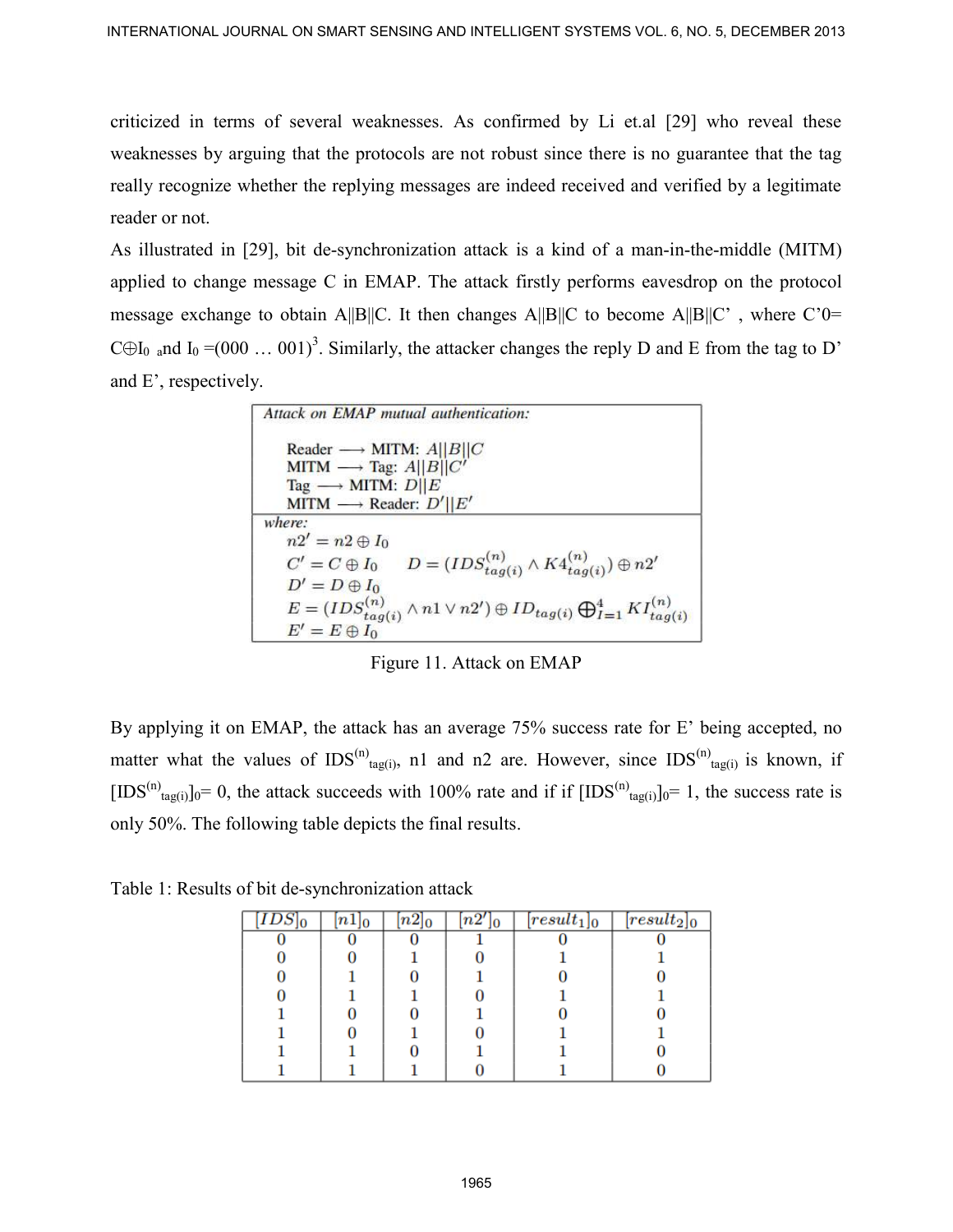criticized in terms of several weaknesses. As confirmed by Li et.al [29] who reveal these weaknesses by arguing that the protocols are not robust since there is no guarantee that the tag really recognize whether the replying messages are indeed received and verified by a legitimate reader or not.

As illustrated in [29], bit de-synchronization attack is a kind of a man-in-the-middle (MITM) applied to change message C in EMAP. The attack firstly performs eavesdrop on the protocol message exchange to obtain A||B||C. It then changes A||B||C to become A||B||C', where C'0= C $\oplus$ I<sub>0 a</sub>nd I<sub>0</sub> =(000 ... 001)<sup>3</sup>. Similarly, the attacker changes the reply D and E from the tag to D' and E', respectively. INTERNATIONAL JOURNAL ON SINART SCHEME AND INTELLIGENT SYSTEMS VOL. 8, NO. 5, DECEMBER 2013<br>
criticized in terms of several weaknesses. As continual by Li et al. [29] who eveal these<br>
weaknesses by arguing that the protoc

| Attack on <b>EMAP</b> mutual authentication:                                                            |
|---------------------------------------------------------------------------------------------------------|
| Reader $\longrightarrow$ MITM: $A  B  C$                                                                |
| MITM $\longrightarrow$ Tag: A  B  C'                                                                    |
| Tag $\longrightarrow$ MITM: $D  E$                                                                      |
| MITM $\longrightarrow$ Reader: $D'  E'$                                                                 |
| where:                                                                                                  |
| $n2' = n2 \oplus I_0$                                                                                   |
| $C' = C \oplus I_0$ $D = (IDS_{tag(i)}^{(n)} \wedge K4_{tag(i)}^{(n)}) \oplus n2'$                      |
| $D'=D\oplus I_0$                                                                                        |
| $E = (IDS_{tag(i)}^{(n)} \wedge n1 \vee n2') \oplus ID_{tag(i)} \bigoplus_{I=1}^{4} K I_{tag(i)}^{(n)}$ |
| $E' = E \oplus I_0$                                                                                     |

Figure 11. Attack on EMAP

By applying it on EMAP, the attack has an average 75% success rate for E' being accepted, no matter what the values of IDS<sup>(n)</sup><sub>tag(i)</sub>, n1 and n2 are. However, since IDS<sup>(n)</sup><sub>tag(i)</sub> is known, if [IDS<sup>(n)</sup><sub>tag(i)</sub>]<sub>0</sub>= 0, the attack succeeds with 100% rate and if if  $[IDS^{(n)}_{tag(i)}]_0 = 1$ , the success rate is only 50%. The following table depicts the final results.

| $\overline{IDS}$<br>10 | $[n1]_0$ | $\overline{n2}]_0$ | $\overline{n2'}$<br>lО | $\overline{[result_1]}_0$ | $[result_2]_0$ |
|------------------------|----------|--------------------|------------------------|---------------------------|----------------|
|                        |          |                    |                        |                           |                |
|                        |          |                    |                        |                           |                |
|                        |          |                    |                        |                           |                |
|                        |          |                    |                        |                           |                |
|                        |          |                    |                        |                           |                |
|                        |          |                    |                        |                           |                |
|                        |          |                    |                        |                           |                |
|                        |          |                    |                        |                           |                |

Table 1: Results of bit de-synchronization attack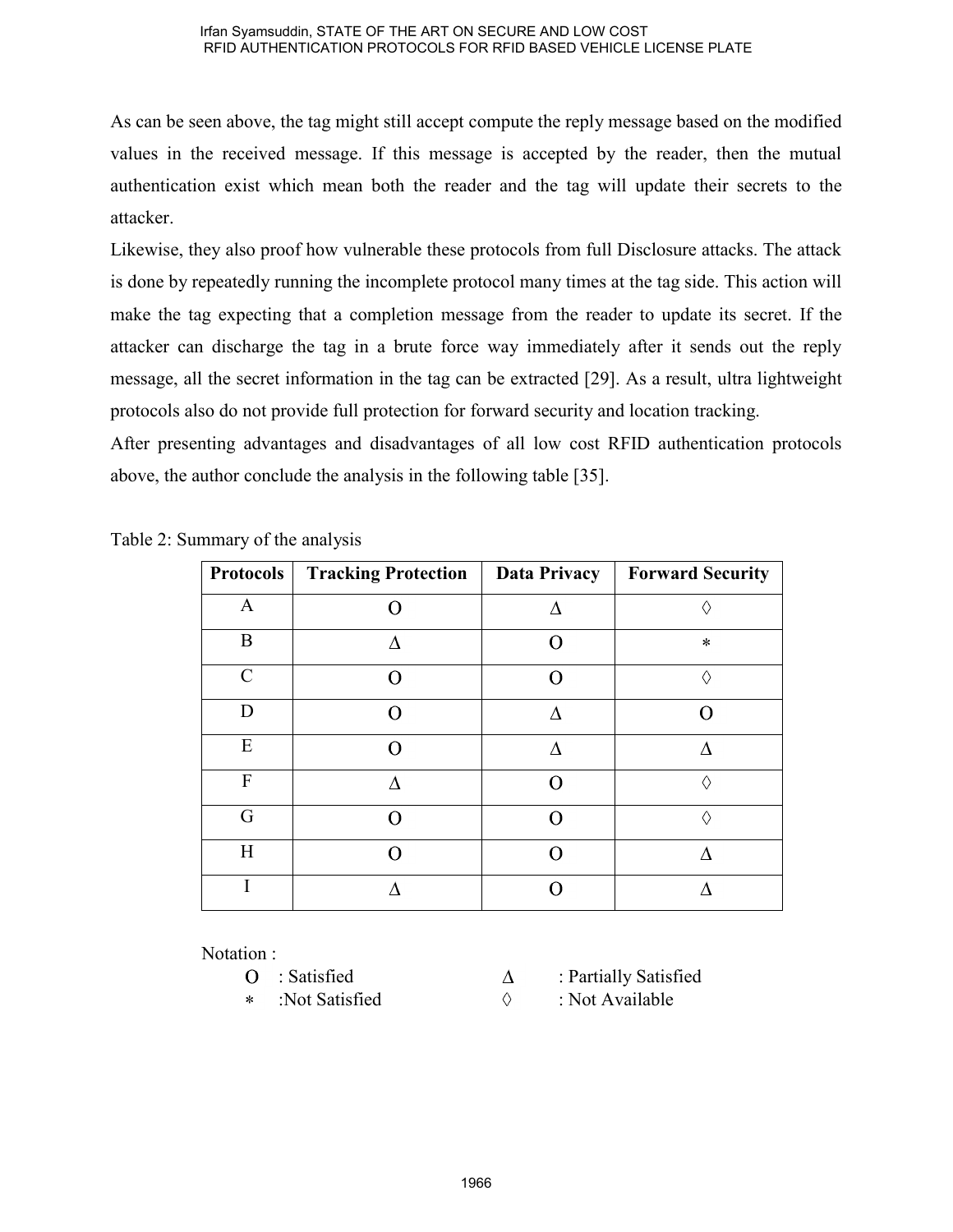As can be seen above, the tag might still accept compute the reply message based on the modified values in the received message. If this message is accepted by the reader, then the mutual authentication exist which mean both the reader and the tag will update their secrets to the attacker.

Likewise, they also proof how vulnerable these protocols from full Disclosure attacks. The attack is done by repeatedly running the incomplete protocol many times at the tag side. This action will make the tag expecting that a completion message from the reader to update its secret. If the attacker can discharge the tag in a brute force way immediately after it sends out the reply message, all the secret information in the tag can be extracted [29]. As a result, ultra lightweight protocols also do not provide full protection for forward security and location tracking.

After presenting advantages and disadvantages of all low cost RFID authentication protocols above, the author conclude the analysis in the following table [35].

| <b>Protocols</b> | <b>Tracking Protection</b> | Data Privacy | <b>Forward Security</b> |
|------------------|----------------------------|--------------|-------------------------|
| A                |                            |              |                         |
| B                |                            | 7            | $\ast$                  |
| $\mathcal{C}$    |                            |              |                         |
| D                |                            |              |                         |
| E                |                            | ۸            |                         |
| F                |                            | ∩            |                         |
| G                |                            |              |                         |
| H                |                            |              |                         |
|                  |                            |              |                         |

|  | Table 2: Summary of the analysis |  |  |
|--|----------------------------------|--|--|
|--|----------------------------------|--|--|

Notation :

- 
- sk.
- $O$  : Satisfied  $\Delta$  : Partially Satisfied
	- :Not Satisfied  $\Diamond$  : Not Available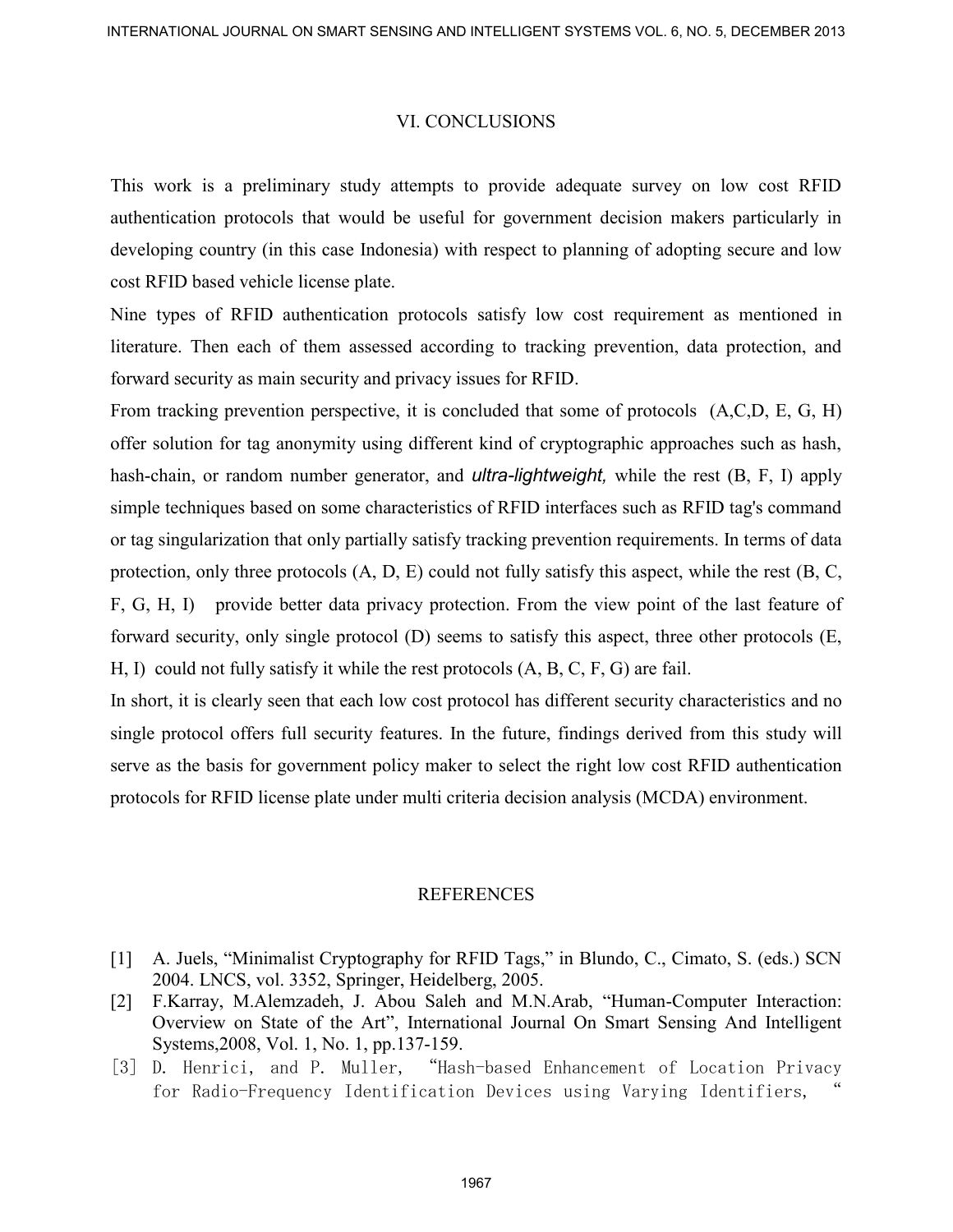### VI. CONCLUSIONS

This work is a preliminary study attempts to provide adequate survey on low cost RFID authentication protocols that would be useful for government decision makers particularly in developing country (in this case Indonesia) with respect to planning of adopting secure and low cost RFID based vehicle license plate.

Nine types of RFID authentication protocols satisfy low cost requirement as mentioned in literature. Then each of them assessed according to tracking prevention, data protection, and forward security as main security and privacy issues for RFID.

From tracking prevention perspective, it is concluded that some of protocols  $(A, C, D, E, G, H)$ offer solution for tag anonymity using different kind of cryptographic approaches such as hash, hash-chain, or random number generator, and *ultra-lightweight,* while the rest (B, F, I) apply simple techniques based on some characteristics of RFID interfaces such as RFID tag's command or tag singularization that only partially satisfy tracking prevention requirements. In terms of data protection, only three protocols  $(A, D, E)$  could not fully satisfy this aspect, while the rest  $(B, C, E)$ F, G, H, I) provide better data privacy protection. From the view point of the last feature of forward security, only single protocol (D) seems to satisfy this aspect, three other protocols (E, H, I) could not fully satisfy it while the rest protocols (A, B, C, F, G) are fail. NYERNATIONAL JOURNAL ON SUNAT SCHEINAR PARTIEN SYSTEMS VOL. AND SUNCE NOTE THE TRANSPORT THE TRANSPORT THE SENSING AND INTELLIGENTS TO THE MARTING THE MARTING CHEFT CONCEPT AND INTELLIGENTS (CONCEPT) and the content of the

In short, it is clearly seen that each low cost protocol has different security characteristics and no single protocol offers full security features. In the future, findings derived from this study will serve as the basis for government policy maker to select the right low cost RFID authentication protocols for RFID license plate under multi criteria decision analysis (MCDA) environment.

### REFERENCES

- [1] A. Juels, "Minimalist Cryptography for RFID Tags," in Blundo, C., Cimato, S. (eds.) SCN 2004. LNCS, vol. 3352, Springer, Heidelberg, 2005.
- [2] F.Karray, M.Alemzadeh, J. Abou Saleh and M.N.Arab, "Human-Computer Interaction: Overview on State of the Art", International Journal On Smart Sensing And Intelligent Systems,2008, Vol. 1, No. 1, pp.137-159.
- [3] D. Henrici, and P. Muller, "Hash-based Enhancement of Location Privacy for Radio-Frequency Identification Devices using Varying Identifiers,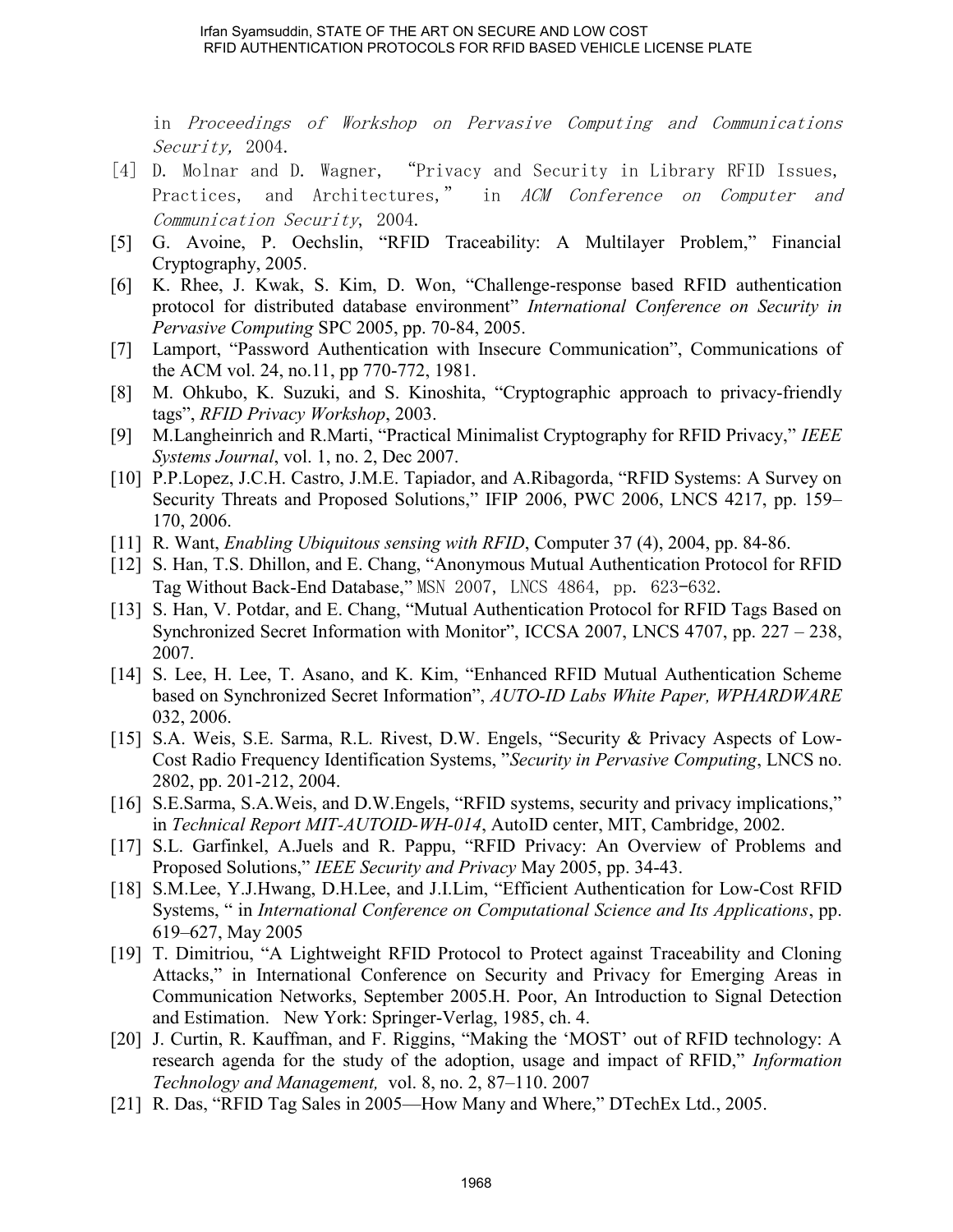in Proceedings of Workshop on Pervasive Computing and Communications Security, 2004.

- [4] D. Molnar and D. Wagner, "Privacy and Security in Library RFID Issues, Practices, and Architectures," in ACM Conference on Computer and Communication Security, 2004.
- [5] G. Avoine, P. Oechslin, "RFID Traceability: A Multilayer Problem," Financial Cryptography, 2005.
- [6] K. Rhee, J. Kwak, S. Kim, D. Won, "Challenge-response based RFID authentication protocol for distributed database environment" *International Conference on Security in Pervasive Computing* SPC 2005, pp. 70-84, 2005.
- [7] Lamport, "Password Authentication with Insecure Communication", Communications of the ACM vol. 24, no.11, pp 770-772, 1981.
- [8] M. Ohkubo, K. Suzuki, and S. Kinoshita, "Cryptographic approach to privacy-friendly tags", *RFID Privacy Workshop*, 2003.
- [9] M.Langheinrich and R.Marti, "Practical Minimalist Cryptography for RFID Privacy," *IEEE Systems Journal*, vol. 1, no. 2, Dec 2007.
- [10] P.P.Lopez, J.C.H. Castro, J.M.E. Tapiador, and A.Ribagorda, "RFID Systems: A Survey on Security Threats and Proposed Solutions," IFIP 2006, PWC 2006, LNCS 4217, pp. 159– 170, 2006.
- [11] R. Want, *Enabling Ubiquitous sensing with RFID*, Computer 37 (4), 2004, pp. 84-86.
- [12] S. Han, T.S. Dhillon, and E. Chang, "Anonymous Mutual Authentication Protocol for RFID Tag Without Back-End Database," MSN 2007, LNCS 4864, pp. 623–632.
- [13] S. Han, V. Potdar, and E. Chang, "Mutual Authentication Protocol for RFID Tags Based on Synchronized Secret Information with Monitor", ICCSA 2007, LNCS 4707, pp. 227 – 238, 2007.
- [14] S. Lee, H. Lee, T. Asano, and K. Kim, "Enhanced RFID Mutual Authentication Scheme based on Synchronized Secret Information", *AUTO-ID Labs White Paper, WPHARDWARE* 032, 2006.
- [15] S.A. Weis, S.E. Sarma, R.L. Rivest, D.W. Engels, "Security & Privacy Aspects of Low-Cost Radio Frequency Identification Systems, "*Security in Pervasive Computing*, LNCS no. 2802, pp. 201-212, 2004.
- [16] S.E.Sarma, S.A.Weis, and D.W.Engels, "RFID systems, security and privacy implications," in *Technical Report MIT-AUTOID-WH-014*, AutoID center, MIT, Cambridge, 2002.
- [17] S.L. Garfinkel, A.Juels and R. Pappu, "RFID Privacy: An Overview of Problems and Proposed Solutions," *IEEE Security and Privacy* May 2005, pp. 34-43.
- [18] S.M.Lee, Y.J.Hwang, D.H.Lee, and J.I.Lim, "Efficient Authentication for Low-Cost RFID Systems, " in *International Conference on Computational Science and Its Applications*, pp. 619–627, May 2005
- [19] T. Dimitriou, "A Lightweight RFID Protocol to Protect against Traceability and Cloning Attacks," in International Conference on Security and Privacy for Emerging Areas in Communication Networks, September 2005.H. Poor, An Introduction to Signal Detection and Estimation. New York: Springer-Verlag, 1985, ch. 4.
- [20] J. Curtin, R. Kauffman, and F. Riggins, "Making the 'MOST' out of RFID technology: A research agenda for the study of the adoption, usage and impact of RFID," *Information Technology and Management,* vol. 8, no. 2, 87–110. 2007
- [21] R. Das, "RFID Tag Sales in 2005—How Many and Where," DTechEx Ltd., 2005.